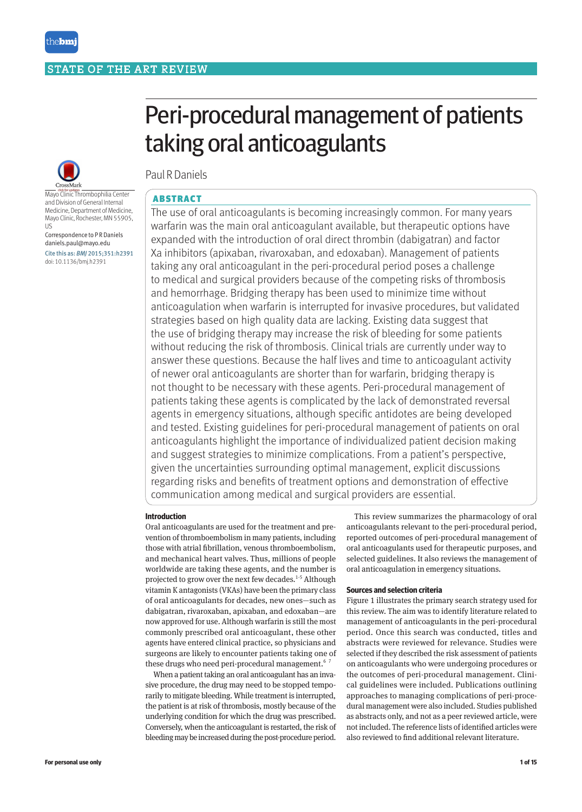# Peri-procedural management of patients taking oral anticoagulants



Mayo Clinic Thrombophilia Center and Division of General Internal Medicine, Department of Medicine, Mayo Clinic, Rochester, MN 55905,  $| \cdot |$ Correspondence to P R Daniels

daniels.paul@mayo.edu Cite this as: *BMJ* 2015;351:h2391 doi: 10.1136/bmj.h2391

Paul R Daniels

# ABSTRACT

The use of oral anticoagulants is becoming increasingly common. For many years warfarin was the main oral anticoagulant available, but therapeutic options have expanded with the introduction of oral direct thrombin (dabigatran) and factor Xa inhibitors (apixaban, rivaroxaban, and edoxaban). Management of patients taking any oral anticoagulant in the peri-procedural period poses a challenge to medical and surgical providers because of the competing risks of thrombosis and hemorrhage. Bridging therapy has been used to minimize time without anticoagulation when warfarin is interrupted for invasive procedures, but validated strategies based on high quality data are lacking. Existing data suggest that the use of bridging therapy may increase the risk of bleeding for some patients without reducing the risk of thrombosis. Clinical trials are currently under way to answer these questions. Because the half lives and time to anticoagulant activity of newer oral anticoagulants are shorter than for warfarin, bridging therapy is not thought to be necessary with these agents. Peri-procedural management of patients taking these agents is complicated by the lack of demonstrated reversal agents in emergency situations, although specific antidotes are being developed and tested. Existing guidelines for peri-procedural management of patients on oral anticoagulants highlight the importance of individualized patient decision making and suggest strategies to minimize complications. From a patient's perspective, given the uncertainties surrounding optimal management, explicit discussions regarding risks and benefits of treatment options and demonstration of effective communication among medical and surgical providers are essential.

## **Introduction**

Oral anticoagulants are used for the treatment and pre‑ vention of thromboembolism in many patients, including those with atrial fibrillation, venous thromboembolism, and mechanical heart valves. Thus, millions of people worldwide are taking these agents, and the number is projected to grow over the next few decades.<sup>1-5</sup> Although vitamin K antagonists (VKAs) have been the primary class of oral anticoagulants for decades, new ones—such as dabigatran, rivaroxaban, apixaban, and edoxaban—are now approved for use. Although warfarin is still the most commonly prescribed oral anticoagulant, these other agents have entered clinical practice, so physicians and surgeons are likely to encounter patients taking one of these drugs who need peri-procedural management.<sup>67</sup>

When a patient taking an oral anticoagulant has an invasive procedure, the drug may need to be stopped temporarily to mitigate bleeding. While treatment is interrupted, the patient is at risk of thrombosis, mostly because of the underlying condition for which the drug was prescribed. Conversely, when the anticoagulant is restarted, the risk of bleeding may be increased during the post-procedure period.

This review summarizes the pharmacology of oral anticoagulants relevant to the peri-procedural period, reported outcomes of peri-procedural management of oral anticoagulants used for therapeutic purposes, and selected guidelines. It also reviews the management of oral anticoagulation in emergency situations.

## **Sources and selection criteria**

Figure 1 illustrates the primary search strategy used for this review. The aim was to identify literature related to management of anticoagulants in the peri-procedural period. Once this search was conducted, titles and abstracts were reviewed for relevance. Studies were selected if they described the risk assessment of patients on anticoagulants who were undergoing procedures or the outcomes of peri-procedural management. Clinical guidelines were included. Publications outlining approaches to managing complications of peri-procedural management were also included. Studies published as abstracts only, and not as a peer reviewed article, were not included. The reference lists of identified articles were also reviewed to find additional relevant literature.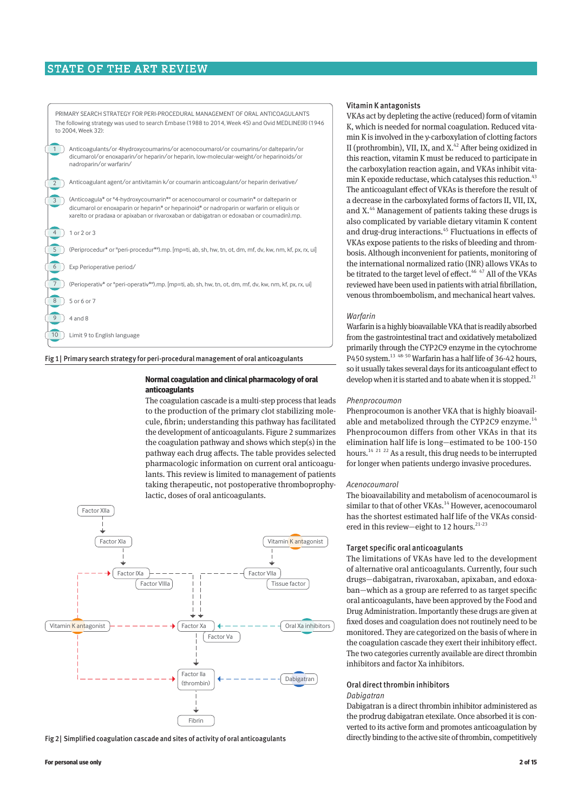

Fig 1| Primary search strategy for peri-procedural management of oral anticoagulants

### **Normal coagulation and clinical pharmacology of oral anticoagulants**

The coagulation cascade is a multi-step process that leads to the production of the primary clot stabilizing molecule, fibrin; understanding this pathway has facilitated the development of anticoagulants. Figure 2 summarizes the coagulation pathway and shows which step(s) in the pathway each drug affects. The table provides selected pharmacologic information on current oral anticoagulants. This review is limited to management of patients taking therapeutic, not postoperative thromboprophylactic, doses of oral anticoagulants.



Fig 2| Simplified coagulation cascade and sites of activity of oral anticoagulants

#### Vitamin K antagonists

VKAs act by depleting the active (reduced) form of vitamin K, which is needed for normal coagulation. Reduced vitamin K is involved in the γ-carboxylation of clotting factors II (prothrombin), VII, IX, and X.<sup>42</sup> After being oxidized in this reaction, vitamin K must be reduced to participate in the carboxylation reaction again, and VKAs inhibit vitamin K epoxide reductase, which catalyses this reduction.<sup>43</sup> The anticoagulant effect of VKAs is therefore the result of a decrease in the carboxylated forms of factors II, VII, IX, and  $X<sup>44</sup>$  Management of patients taking these drugs is also complicated by variable dietary vitamin K content and drug-drug interactions.<sup>45</sup> Fluctuations in effects of VKAs expose patients to the risks of bleeding and throm‑ bosis. Although inconvenient for patients, monitoring of the international normalized ratio (INR) allows VKAs to be titrated to the target level of effect.<sup>46 47</sup> All of the VKAs reviewed have been used in patients with atrial fibrillation, venous thromboembolism, and mechanical heart valves.

#### *Warfarin*

Warfarin is a highly bioavailable VKA that is readily absorbed from the gastrointestinal tract and oxidatively metabolized primarily through the CYP2C9 enzyme in the cytochrome P450 system.<sup>13</sup> <sup>48-50</sup> Warfarin has a half life of 36-42 hours, so it usually takes several days for its anticoagulant effect to develop when it is started and to abate when it is stopped. $21$ 

#### *Phenprocoumon*

Phenprocoumon is another VKA that is highly bioavailable and metabolized through the CYP2C9 enzyme.<sup>14</sup> Phenprocoumon differs from other VKAs in that its elimination half life is long—estimated to be 100-150 hours.<sup>14</sup> <sup>21</sup> <sup>22</sup> As a result, this drug needs to be interrupted for longer when patients undergo invasive procedures.

#### *Acenocoumarol*

The bioavailability and metabolism of acenocoumarol is similar to that of other VKAs.<sup>14</sup> However, acenocoumarol has the shortest estimated half life of the VKAs considered in this review—eight to 12 hours.<sup>21-23</sup>

#### Target specific oral anticoagulants

The limitations of VKAs have led to the development of alternative oral anticoagulants. Currently, four such drugs—dabigatran, rivaroxaban, apixaban, and edoxa‑ ban—which as a group are referred to as target specific oral anticoagulants, have been approved by the Food and Drug Administration. Importantly these drugs are given at fixed doses and coagulation does not routinely need to be monitored. They are categorized on the basis of where in the coagulation cascade they exert their inhibitory effect. The two categories currently available are direct thrombin inhibitors and factor Xa inhibitors.

#### Oral direct thrombin inhibitors *Dabigatran*

Dabigatran is a direct thrombin inhibitor administered as the prodrug dabigatran etexilate. Once absorbed it is converted to its active form and promotes anticoagulation by directly binding to the active site of thrombin, competitively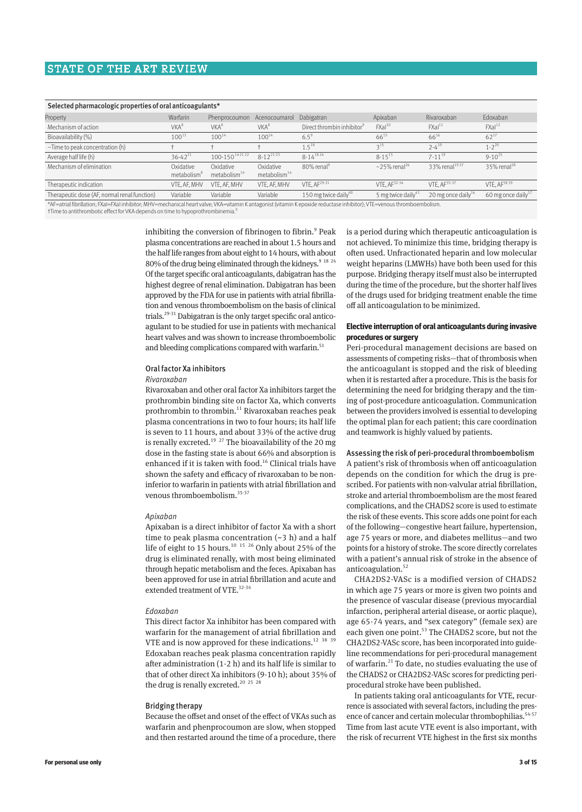| Selected pharmacologic properties of oral anticoagulants*                                                                                                               |                                      |                              |                                       |                                        |                                |                                |                                |  |
|-------------------------------------------------------------------------------------------------------------------------------------------------------------------------|--------------------------------------|------------------------------|---------------------------------------|----------------------------------------|--------------------------------|--------------------------------|--------------------------------|--|
| Property                                                                                                                                                                | Warfarin                             | Phenprocoumon                | Acenocoumarol                         | Dabigatran                             | Apixaban                       | Rivaroxaban                    | Edoxaban                       |  |
| Mechanism of action                                                                                                                                                     | VKA <sup>8</sup>                     | VKA <sup>8</sup>             | VKA <sup>8</sup>                      | Direct thrombin inhibitor <sup>9</sup> | FXal <sup>10</sup>             | FXal <sup>11</sup>             | FXal <sup>12</sup>             |  |
| Bioavailability (%)                                                                                                                                                     | $100^{13}$                           | $100^{14}$                   | $100^{14}$                            | $6.5^9$                                | 6615                           | 6616                           | $62^{17}$                      |  |
| ~Time to peak concentration (h)                                                                                                                                         |                                      |                              |                                       | $1.5^{18}$                             | 2 <sup>15</sup>                | $2 - 4^{19}$                   | $1 - 2^{20}$                   |  |
| Average half life (h)                                                                                                                                                   | $36 - 42^{21}$                       | 100-150 <sup>142122</sup>    | $8-12^{21-23}$                        | $8 - 14^{1824}$                        | $8 - 15^{15}$                  | $7 - 11^{19}$                  | $9 - 10^{25}$                  |  |
| Mechanism of elimination                                                                                                                                                | Oxidative<br>metabolism <sup>8</sup> | Oxidative<br>metabolism $14$ | Oxidative<br>metabolism <sup>14</sup> | 80% renal <sup>9</sup>                 | $\sim$ 25% renal <sup>26</sup> | 33% renal <sup>1927</sup>      | 35% renal <sup>28</sup>        |  |
| Therapeutic indication                                                                                                                                                  | VTE, AF, MHV                         | VTE, AF, MHV                 | VTE, AF, MHV                          | VTE, $AF^{29-31}$                      | VTE, $AF^{32.34}$              | VTE, $AF^{35-37}$              | VTE, $AF^{38,39}$              |  |
| Therapeutic dose (AF, normal renal function)                                                                                                                            | Variable                             | Variable                     | Variable                              | 150 mg twice daily <sup>40</sup>       | 5 mg twice daily <sup>41</sup> | 20 mg once daily <sup>16</sup> | 60 mg once daily <sup>17</sup> |  |
| *AF=atrial fibrillation; FXaI=FXaI inhibitor; MHV=mechanical heart valve; VKA=vitamin K antagonist (vitamin K epoxide reductase inhibitor); VTE=venous thromboembolism. |                                      |                              |                                       |                                        |                                |                                |                                |  |

†Time to antithrombotic effect for VKA depends on time to hypoprothrombinemia.8

## inhibiting the conversion of fibrinogen to fibrin.<sup>9</sup> Peak plasma concentrations are reached in about 1.5 hours and the half life ranges from about eight to 14 hours, with about 80% of the drug being eliminated through the kidneys. $91824$ Of the target specific oral anticoagulants, dabigatran has the highest degree of renal elimination. Dabigatran has been approved by the FDA for use in patients with atrial fibrillation and venous thromboembolism on the basis of clinical trials.<sup>29-31</sup> Dabigatran is the only target specific oral anticoagulant to be studied for use in patients with mechanical heart valves and was shown to increase thromboembolic and bleeding complications compared with warfarin.<sup>51</sup>

#### Oral factor Xa inhibitors

## *Rivaroxaban*

Rivaroxaban and other oral factor Xa inhibitors target the prothrombin binding site on factor Xa, which converts prothrombin to thrombin.<sup>11</sup> Rivaroxaban reaches peak plasma concentrations in two to four hours; its half life is seven to 11 hours, and about 33% of the active drug is renally excreted.<sup>19</sup> <sup>27</sup> The bioavailability of the 20 mg dose in the fasting state is about 66% and absorption is enhanced if it is taken with food.<sup>16</sup> Clinical trials have shown the safety and efficacy of rivaroxaban to be noninferior to warfarin in patients with atrial fibrillation and venous thromboembolism.<sup>35-37</sup>

#### *Apixaban*

Apixaban is a direct inhibitor of factor Xa with a short time to peak plasma concentration (~3 h) and a half life of eight to 15 hours.<sup>10 15</sup> <sup>26</sup> Only about 25% of the drug is eliminated renally, with most being eliminated through hepatic metabolism and the feces. Apixaban has been approved for use in atrial fibrillation and acute and extended treatment of VTE.<sup>32-34</sup>

#### *Edoxaban*

This direct factor Xa inhibitor has been compared with warfarin for the management of atrial fibrillation and VTE and is now approved for these indications.<sup>12 38 39</sup> Edoxaban reaches peak plasma concentration rapidly after administration (1-2 h) and its half life is similar to that of other direct Xa inhibitors (9-10 h); about 35% of the drug is renally excreted.<sup>20</sup> <sup>25</sup> <sup>28</sup>

#### Bridging therapy

Because the offset and onset of the effect of VKAs such as warfarin and phenprocoumon are slow, when stopped and then restarted around the time of a procedure, there is a period during which therapeutic anticoagulation is not achieved. To minimize this time, bridging therapy is often used. Unfractionated heparin and low molecular weight heparins (LMWHs) have both been used for this purpose. Bridging therapy itself must also be interrupted during the time of the procedure, but the shorter half lives of the drugs used for bridging treatment enable the time off all anticoagulation to be minimized.

#### **Elective interruption of oral anticoagulants during invasive procedures or surgery**

Peri-procedural management decisions are based on assessments of competing risks—that of thrombosis when the anticoagulant is stopped and the risk of bleeding when it is restarted after a procedure. This is the basis for determining the need for bridging therapy and the timing of post-procedure anticoagulation. Communication between the providers involved is essential to developing the optimal plan for each patient; this care coordination and teamwork is highly valued by patients.

## Assessing the risk of peri-procedural thromboembolism A patient's risk of thrombosis when off anticoagulation depends on the condition for which the drug is prescribed. For patients with non-valvular atrial fibrillation, stroke and arterial thromboembolism are the most feared complications, and the CHADS2 score is used to estimate the risk of these events. This score adds one point for each of the following—congestive heart failure, hypertension, age 75 years or more, and diabetes mellitus—and two points for a history of stroke. The score directly correlates with a patient's annual risk of stroke in the absence of anticoagulation.<sup>52</sup>

CHA2DS2-VASc is a modified version of CHADS2 in which age 75 years or more is given two points and the presence of vascular disease (previous myocardial infarction, peripheral arterial disease, or aortic plaque), age 65-74 years, and "sex category" (female sex) are each given one point.<sup>53</sup> The CHADS2 score, but not the CHA2DS2-VASc score, has been incorporated into guide‑ line recommendations for peri-procedural management of warfarin.<sup>21</sup> To date, no studies evaluating the use of the CHADS2 or CHA2DS2-VASc scores for predicting periprocedural stroke have been published.

In patients taking oral anticoagulants for VTE, recurrence is associated with several factors, including the presence of cancer and certain molecular thrombophilias.  $54-57$ Time from last acute VTE event is also important, with the risk of recurrent VTE highest in the first six months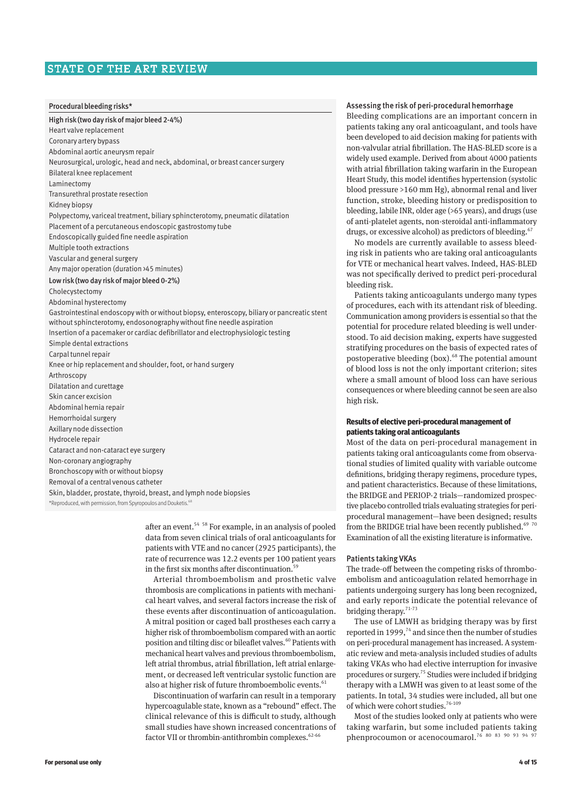Procedural bleeding risks\* High risk (two day risk of major bleed 2-4%) Heart valve replacement Coronary artery bypass Abdominal aortic aneurysm repair Neurosurgical, urologic, head and neck, abdominal, or breast cancer surgery Bilateral knee replacement Laminectomy Transurethral prostate resection Kidney biopsy Polypectomy, variceal treatment, biliary sphincterotomy, pneumatic dilatation Placement of a percutaneous endoscopic gastrostomy tube Endoscopically guided fine needle aspiration Multiple tooth extractions Vascular and general surgery Any major operation (duration >45 minutes) Low risk (two day risk of major bleed 0-2%) Cholecystectomy Abdominal hysterectomy Gastrointestinal endoscopy with or without biopsy, enteroscopy, biliary or pancreatic stent without sphincterotomy, endosonography without fine needle aspiration Insertion of a pacemaker or cardiac defibrillator and electrophysiologic testing Simple dental extractions Carpal tunnel repair Knee or hip replacement and shoulder, foot, or hand surgery Arthroscopy Dilatation and curettage Skin cancer excision Abdominal hernia repair Hemorrhoidal surgery Axillary node dissection Hydrocele repair Cataract and non-cataract eye surgery

Non-coronary angiography Bronchoscopy with or without biopsy Removal of a central venous catheter Skin, bladder, prostate, thyroid, breast, and lymph node biopsies \*Reproduced, with permission, from Spyropoulos and Douketis.68

> after an event.<sup>54</sup> <sup>58</sup> For example, in an analysis of pooled data from seven clinical trials of oral anticoagulants for patients with VTE and no cancer (2925 participants), the rate of recurrence was 12.2 events per 100 patient years in the first six months after discontinuation.<sup>59</sup>

> Arterial thromboembolism and prosthetic valve thrombosis are complications in patients with mechanical heart valves, and several factors increase the risk of these events after discontinuation of anticoagulation. A mitral position or caged ball prostheses each carry a higher risk of thromboembolism compared with an aortic position and tilting disc or bileaflet valves.<sup>60</sup> Patients with mechanical heart valves and previous thromboembolism, left atrial thrombus, atrial fibrillation, left atrial enlargement, or decreased left ventricular systolic function are also at higher risk of future thromboembolic events.<sup>61</sup>

> Discontinuation of warfarin can result in a temporary hypercoagulable state, known as a "rebound" effect. The clinical relevance of this is difficult to study, although small studies have shown increased concentrations of factor VII or thrombin-antithrombin complexes. $62-66$

#### Assessing the risk of peri-procedural hemorrhage

Bleeding complications are an important concern in patients taking any oral anticoagulant, and tools have been developed to aid decision making for patients with non-valvular atrial fibrillation. The HAS-BLED score is a widely used example. Derived from about 4000 patients with atrial fibrillation taking warfarin in the European Heart Study, this model identifies hypertension (systolic blood pressure >160 mm Hg), abnormal renal and liver function, stroke, bleeding history or predisposition to bleeding, labile INR, older age (>65 years), and drugs (use of anti-platelet agents, non-steroidal anti-inflammatory drugs, or excessive alcohol) as predictors of bleeding.<sup>67</sup>

No models are currently available to assess bleed‑ ing risk in patients who are taking oral anticoagulants for VTE or mechanical heart valves. Indeed, HAS-BLED was not specifically derived to predict peri-procedural bleeding risk.

Patients taking anticoagulants undergo many types of procedures, each with its attendant risk of bleeding. Communication among providers is essential so that the potential for procedure related bleeding is well understood. To aid decision making, experts have suggested stratifying procedures on the basis of expected rates of postoperative bleeding (box).<sup>68</sup> The potential amount of blood loss is not the only important criterion; sites where a small amount of blood loss can have serious consequences or where bleeding cannot be seen are also high risk.

## **Results of elective peri-procedural management of patients taking oral anticoagulants**

Most of the data on peri-procedural management in patients taking oral anticoagulants come from observational studies of limited quality with variable outcome definitions, bridging therapy regimens, procedure types, and patient characteristics. Because of these limitations, the BRIDGE and PERIOP-2 trials-randomized prospective placebo controlled trials evaluating strategies for periprocedural management—have been designed; results from the BRIDGE trial have been recently published.<sup>69</sup> 70 Examination of all the existing literature is informative.

#### Patients taking VKAs

The trade-off between the competing risks of thromboembolism and anticoagulation related hemorrhage in patients undergoing surgery has long been recognized, and early reports indicate the potential relevance of bridging therapy.<sup>71-73</sup>

The use of LMWH as bridging therapy was by first reported in 1999, $74$  and since then the number of studies on peri-procedural management has increased. A systematic review and meta-analysis included studies of adults taking VKAs who had elective interruption for invasive procedures or surgery.75 Studies were included if bridging therapy with a LMWH was given to at least some of the patients. In total, 34 studies were included, all but one of which were cohort studies.  $^{76\cdot 109}$ 

Most of the studies looked only at patients who were taking warfarin, but some included patients taking phenprocoumon or acenocoumarol.<sup>76</sup> 80 83 90 93 94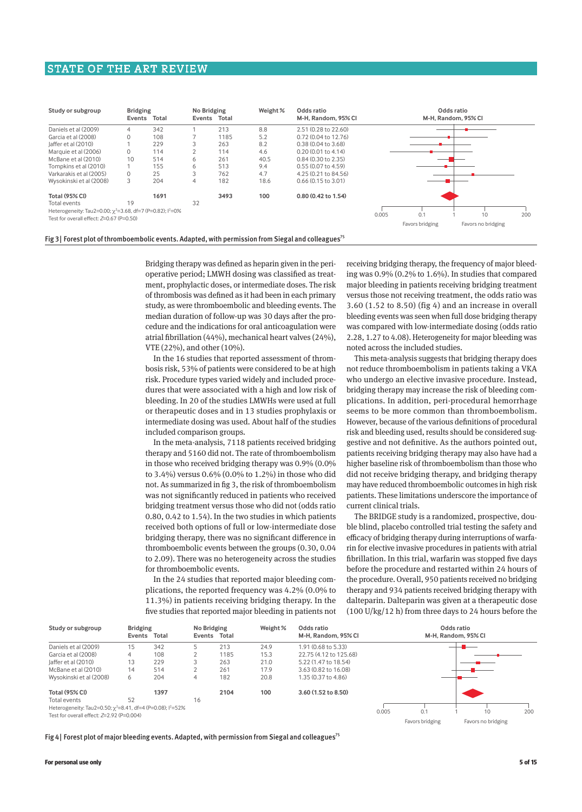| Study or subgroup                                                                                                             | <b>Bridging</b><br>Events | Total | No Bridging<br>Events   | Total | Weight % | Odds ratio<br>M-H. Random, 95% Cl |       | M-H, Random, 95% Cl | Odds ratio |                    |     |
|-------------------------------------------------------------------------------------------------------------------------------|---------------------------|-------|-------------------------|-------|----------|-----------------------------------|-------|---------------------|------------|--------------------|-----|
| Daniels et al (2009)                                                                                                          | 4                         | 342   |                         | 213   | 8.8      | 2.51 (0.28 to 22.60)              |       |                     |            |                    |     |
| Garcia et al (2008)                                                                                                           | 0                         | 108   |                         | 1185  | 5.2      | 0.72 (0.04 to 12.76)              |       |                     |            |                    |     |
| laffer et al (2010)                                                                                                           |                           | 229   | 3                       | 263   | 8.2      | $0.38(0.04 \text{ to } 3.68)$     |       |                     |            |                    |     |
| Marquie et al (2006)                                                                                                          | 0                         | 114   | $\overline{\mathbf{c}}$ | 114   | 4.6      | $0.20(0.01)$ to 4.14)             |       |                     |            |                    |     |
| McBane et al (2010)                                                                                                           | 10                        | 514   | 6                       | 261   | 40.5     | 0.84 (0.30 to 2.35)               |       |                     |            |                    |     |
| Tompkins et al (2010)                                                                                                         |                           | 155   | 6                       | 513   | 9.4      | 0.55 (0.07 to 4.59)               |       |                     |            |                    |     |
| Varkarakis et al (2005)                                                                                                       | $\mathbf{0}$              | 25    | 3                       | 762   | 4.7      | 4.25 (0.21 to 84.56)              |       |                     |            |                    |     |
| Wysokinski et al (2008)                                                                                                       | 3                         | 204   | 4                       | 182   | 18.6     | $0.66$ (0.15 to 3.01)             |       |                     |            |                    |     |
| <b>Total (95% CI)</b>                                                                                                         |                           | 1691  |                         | 3493  | 100      | 0.80 (0.42 to 1.54)               |       |                     |            |                    |     |
| Total events                                                                                                                  | 19                        |       | 32                      |       |          |                                   |       |                     |            |                    |     |
| Heterogeneity: Tau2=0.00; χ <sup>2</sup> =3.68, df=7 (P=0.82); l <sup>2</sup> =0%<br>Test for overall effect: Z=0.67 (P=0.50) |                           |       |                         |       |          |                                   | 0.005 | 0.1                 |            | 10                 | 200 |
|                                                                                                                               |                           |       |                         |       |          |                                   |       | Favors bridging     |            | Favors no bridging |     |
|                                                                                                                               |                           |       |                         |       |          |                                   |       |                     |            |                    |     |

#### Fig 3 | Forest plot of thromboembolic events. Adapted, with permission from Siegal and colleagues<sup>75</sup>

Bridging therapy was defined as heparin given in the perioperative period; LMWH dosing was classified as treat‑ ment, prophylactic doses, or intermediate doses. The risk of thrombosis was defined as it had been in each primary study, as were thromboembolic and bleeding events. The median duration of follow-up was 30 days after the procedure and the indications for oral anticoagulation were atrial fibrillation (44%), mechanical heart valves (24%), VTE (22%), and other (10%).

In the 16 studies that reported assessment of thrombosis risk, 53% of patients were considered to be at high risk. Procedure types varied widely and included procedures that were associated with a high and low risk of bleeding. In 20 of the studies LMWHs were used at full or therapeutic doses and in 13 studies prophylaxis or intermediate dosing was used. About half of the studies included comparison groups.

In the meta-analysis, 7118 patients received bridging therapy and 5160 did not. The rate of thromboembolism in those who received bridging therapy was 0.9% (0.0% to 3.4%) versus 0.6% (0.0% to 1.2%) in those who did not. As summarized in fig 3, the risk of thromboembolism was not significantly reduced in patients who received bridging treatment versus those who did not (odds ratio 0.80, 0.42 to 1.54). In the two studies in which patients received both options of full or low-intermediate dose bridging therapy, there was no significant difference in thromboembolic events between the groups (0.30, 0.04 to 2.09). There was no heterogeneity across the studies for thromboembolic events.

In the 24 studies that reported major bleeding complications, the reported frequency was 4.2% (0.0% to 11.3%) in patients receiving bridging therapy. In the five studies that reported major bleeding in patients not receiving bridging therapy, the frequency of major bleeding was 0.9% (0.2% to 1.6%). In studies that compared major bleeding in patients receiving bridging treatment versus those not receiving treatment, the odds ratio was 3.60 (1.52 to 8.50) (fig 4) and an increase in overall bleeding events was seen when full dose bridging therapy was compared with low-intermediate dosing (odds ratio 2.28, 1.27 to 4.08). Heterogeneity for major bleeding was noted across the included studies.

This meta-analysis suggests that bridging therapy does not reduce thromboembolism in patients taking a VKA who undergo an elective invasive procedure. Instead, bridging therapy may increase the risk of bleeding complications. In addition, peri-procedural hemorrhage seems to be more common than thromboembolism. However, because of the various definitions of procedural risk and bleeding used, results should be considered suggestive and not definitive. As the authors pointed out, patients receiving bridging therapy may also have had a higher baseline risk of thromboembolism than those who did not receive bridging therapy, and bridging therapy may have reduced thromboembolic outcomes in high risk patients. These limitations underscore the importance of current clinical trials.

The BRIDGE study is a randomized, prospective, double blind, placebo controlled trial testing the safety and efficacy of bridging therapy during interruptions of warfarin for elective invasive procedures in patients with atrial fibrillation. In this trial, warfarin was stopped five days before the procedure and restarted within 24 hours of the procedure. Overall, 950 patients received no bridging therapy and 934 patients received bridging therapy with dalteparin. Dalteparin was given at a therapeutic dose (100 U/kg/12 h) from three days to 24 hours before the

| Study or subgroup                                                            | <b>Bridging</b><br>Events | Total | No Bridging<br>Events | Total | Weight % | Odds ratio<br>M-H. Random, 95% Cl |       |                 | Odds ratio<br>M-H. Random, 95% Cl |     |
|------------------------------------------------------------------------------|---------------------------|-------|-----------------------|-------|----------|-----------------------------------|-------|-----------------|-----------------------------------|-----|
| Daniels et al (2009)                                                         | 15                        | 342   |                       | 213   | 24.9     | 1.91 (0.68 to 5.33)               |       |                 |                                   |     |
| Garcia et al (2008)                                                          | 4                         | 108   |                       | 1185  | 15.3     | 22.75 (4.12 to 125.68)            |       |                 |                                   |     |
| laffer et al (2010)                                                          | 13                        | 229   |                       | 263   | 21.0     | 5.22 (1.47 to 18.54)              |       |                 |                                   |     |
| McBane et al (2010)                                                          | 14                        | 514   |                       | 261   | 17.9     | 3.63 (0.82 to 16.08)              |       |                 |                                   |     |
| Wysokinski et al (2008)                                                      | 6                         | 204   | 4                     | 182   | 20.8     | 1.35 (0.37 to 4.86)               |       |                 |                                   |     |
| <b>Total (95% CI)</b>                                                        |                           | 1397  |                       | 2104  | 100      | 3.60 (1.52 to 8.50)               |       |                 |                                   |     |
| Total events                                                                 | 52                        |       | 16                    |       |          |                                   |       |                 |                                   |     |
| Heterogeneity: Tau2=0.50; $\gamma^2$ =8.41, df=4 (P=0.08); $\frac{12}{52\%}$ |                           |       |                       |       |          |                                   |       |                 |                                   |     |
| Test for overall effect: Z=2.92 (P=0.004)                                    |                           |       |                       |       |          |                                   | 0.005 | 0.1             | 10                                | 200 |
|                                                                              |                           |       |                       |       |          |                                   |       | Favors bridging | Favors no bridging                |     |

Fig 4 | Forest plot of major bleeding events. Adapted, with permission from Siegal and colleagues<sup>75</sup>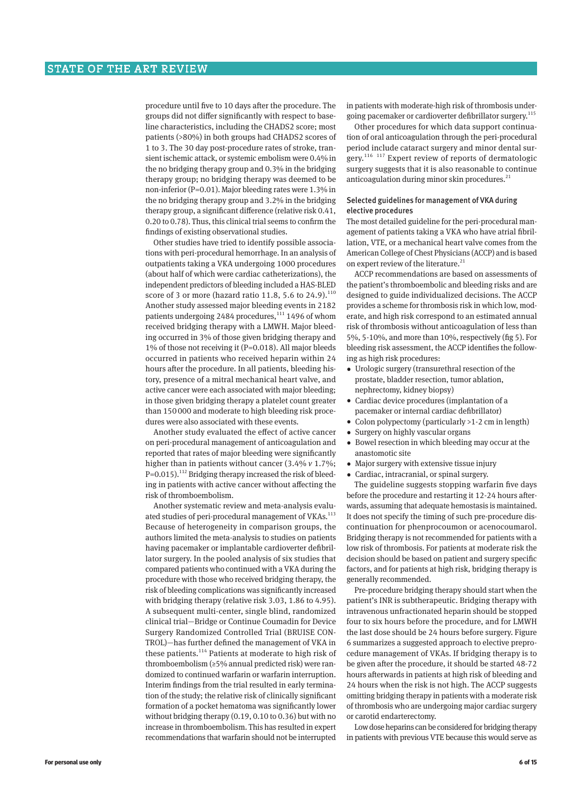procedure until five to 10 days after the procedure. The groups did not differ significantly with respect to baseline characteristics, including the CHADS2 score; most patients (>80%) in both groups had CHADS2 scores of 1 to 3. The 30 day post-procedure rates of stroke, transient ischemic attack, or systemic embolism were 0.4% in the no bridging therapy group and 0.3% in the bridging therapy group; no bridging therapy was deemed to be non-inferior (P=0.01). Major bleeding rates were 1.3% in the no bridging therapy group and 3.2% in the bridging therapy group, a significant difference (relative risk 0.41, 0.20 to 0.78). Thus, this clinical trial seems to confirm the findings of existing observational studies.

Other studies have tried to identify possible associations with peri-procedural hemorrhage. In an analysis of outpatients taking a VKA undergoing 1000 procedures (about half of which were cardiac catheterizations), the independent predictors of bleeding included a HAS-BLED score of 3 or more (hazard ratio 11.8, 5.6 to 24.9). $^{110}$ Another study assessed major bleeding events in 2182 patients undergoing 2484 procedures,<sup>111</sup> 1496 of whom received bridging therapy with a LMWH. Major bleeding occurred in 3% of those given bridging therapy and 1% of those not receiving it (P=0.018). All major bleeds occurred in patients who received heparin within 24 hours after the procedure. In all patients, bleeding history, presence of a mitral mechanical heart valve, and active cancer were each associated with major bleeding; in those given bridging therapy a platelet count greater than 150000 and moderate to high bleeding risk procedures were also associated with these events.

Another study evaluated the effect of active cancer on peri-procedural management of anticoagulation and reported that rates of major bleeding were significantly higher than in patients without cancer (3.4% *v* 1.7%;  $P=0.015$ .<sup>112</sup> Bridging therapy increased the risk of bleeding in patients with active cancer without affecting the risk of thromboembolism.

Another systematic review and meta-analysis evaluated studies of peri-procedural management of VKAs.<sup>113</sup> Because of heterogeneity in comparison groups, the authors limited the meta-analysis to studies on patients having pacemaker or implantable cardioverter defibrillator surgery. In the pooled analysis of six studies that compared patients who continued with a VKA during the procedure with those who received bridging therapy, the risk of bleeding complications was significantly increased with bridging therapy (relative risk 3.03, 1.86 to 4.95). A subsequent multi-center, single blind, randomized clinical trial—Bridge or Continue Coumadin for Device Surgery Randomized Controlled Trial (BRUISE CON‑ TROL)—has further defined the management of VKA in these patients.<sup>114</sup> Patients at moderate to high risk of thromboembolism ( $\geq$ 5% annual predicted risk) were randomized to continued warfarin or warfarin interruption. Interim findings from the trial resulted in early termination of the study; the relative risk of clinically significant formation of a pocket hematoma was significantly lower without bridging therapy (0.19, 0.10 to 0.36) but with no increase in thromboembolism. This has resulted in expert recommendations that warfarin should not be interrupted

in patients with moderate-high risk of thrombosis undergoing pacemaker or cardioverter defibrillator surgery.<sup>115</sup>

Other procedures for which data support continuation of oral anticoagulation through the peri-procedural period include cataract surgery and minor dental surgery.<sup>116</sup> 117 Expert review of reports of dermatologic surgery suggests that it is also reasonable to continue anticoagulation during minor skin procedures. $^{21}$ 

## Selected guidelines for management of VKA during elective procedures

The most detailed guideline for the peri-procedural management of patients taking a VKA who have atrial fibrillation, VTE, or a mechanical heart valve comes from the American College of Chest Physicians (ACCP) and is based on expert review of the literature.<sup>21</sup>

ACCP recommendations are based on assessments of the patient's thromboembolic and bleeding risks and are designed to guide individualized decisions. The ACCP provides a scheme for thrombosis risk in which low, moderate, and high risk correspond to an estimated annual risk of thrombosis without anticoagulation of less than 5%, 5-10%, and more than 10%, respectively (fig 5). For bleeding risk assessment, the ACCP identifies the following as high risk procedures:

- •  Urologic surgery (transurethral resection of the prostate, bladder resection, tumor ablation, nephrectomy, kidney biopsy)
- •  Cardiac device procedures (implantation of a pacemaker or internal cardiac defibrillator)
- •  Colon polypectomy (particularly >1-2 cm in length)
- •  Surgery on highly vascular organs
- •  Bowel resection in which bleeding may occur at the anastomotic site
- •  Major surgery with extensive tissue injury
- •  Cardiac, intracranial, or spinal surgery.

The guideline suggests stopping warfarin five days before the procedure and restarting it 12-24 hours afterwards, assuming that adequate hemostasis is maintained. It does not specify the timing of such pre-procedure discontinuation for phenprocoumon or acenocoumarol. Bridging therapy is not recommended for patients with a low risk of thrombosis. For patients at moderate risk the decision should be based on patient and surgery specific factors, and for patients at high risk, bridging therapy is generally recommended.

Pre-procedure bridging therapy should start when the patient's INR is subtherapeutic. Bridging therapy with intravenous unfractionated heparin should be stopped four to six hours before the procedure, and for LMWH the last dose should be 24 hours before surgery. Figure 6 summarizes a suggested approach to elective prepro‑ cedure management of VKAs. If bridging therapy is to be given after the procedure, it should be started 48-72 hours afterwards in patients at high risk of bleeding and 24 hours when the risk is not high. The ACCP suggests omitting bridging therapy in patients with a moderate risk of thrombosis who are undergoing major cardiac surgery or carotid endarterectomy.

Low dose heparins can be considered for bridging therapy in patients with previous VTE because this would serve as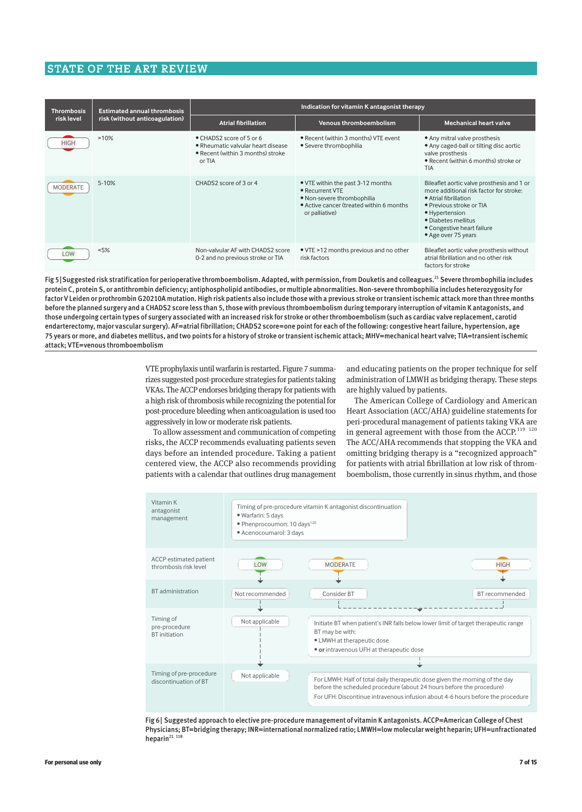| <b>Thrombosis</b> | <b>Estimated annual thrombosis</b> | Indication for vitamin K antagonist therapy                                                                   |                                                                                                                                                   |                                                                                                                                                                                                                                          |  |  |  |  |
|-------------------|------------------------------------|---------------------------------------------------------------------------------------------------------------|---------------------------------------------------------------------------------------------------------------------------------------------------|------------------------------------------------------------------------------------------------------------------------------------------------------------------------------------------------------------------------------------------|--|--|--|--|
| risk level        | risk (without anticoagulation)     | <b>Atrial fibrillation</b>                                                                                    | <b>Venous thromboembolism</b>                                                                                                                     | <b>Mechanical heart valve</b>                                                                                                                                                                                                            |  |  |  |  |
| <b>HIGH</b>       | >10%                               | • CHADS2 score of 5 or 6<br>• Rheumatic valvular heart disease<br>• Recent (within 3 months) stroke<br>or TIA | • Recent (within 3 months) VTE event<br>• Severe thrombophilia                                                                                    | • Any mitral valve prosthesis<br>• Any caged-ball or tilting disc aortic<br>valve prosthesis<br>• Recent (within 6 months) stroke or<br><b>TIA</b>                                                                                       |  |  |  |  |
| <b>MODERATE</b>   | $5 - 10%$                          | CHADS2 score of 3 or 4                                                                                        | • VTE within the past 3-12 months<br>• Recurrent VTE<br>. Non-severe thrombophilia<br>• Active cancer (treated within 6 months)<br>or palliative) | Bileaflet aortic valve prosthesis and 1 or<br>more additional risk factor for stroke:<br>• Atrial fibrillation<br>· Previous stroke or TIA<br>• Hypertension<br>· Diabetes mellitus<br>• Congestive heart failure<br>• Age over 75 years |  |  |  |  |
| <b>LOW</b>        | < 5%                               | Non-valvular AF with CHADS2 score<br>0-2 and no previous stroke or TIA                                        | • VTE >12 months previous and no other<br>risk factors                                                                                            | Bileaflet aortic valve prosthesis without<br>atrial fibrillation and no other risk<br>factors for stroke                                                                                                                                 |  |  |  |  |

Fig 5 | Suggested risk stratification for perioperative thromboembolism. Adapted, with permission, from Douketis and colleagues.<sup>21</sup> Severe thrombophilia includes protein C, protein S, or antithrombin deficiency; antiphospholipid antibodies, or multiple abnormalities. Non-severe thrombophilia includes heterozygosity for factor V Leiden or prothrombin G20210A mutation. High risk patients also include those with a previous stroke or transient ischemic attack more than three months before the planned surgery and a CHADS2 score less than 5, those with previous thromboembolism during temporary interruption of vitamin K antagonists, and those undergoing certain types of surgery associated with an increased risk for stroke or other thromboembolism (such as cardiac valve replacement, carotid endarterectomy, major vascular surgery). AF=atrial fibrillation; CHADS2 score=one point for each of the following: congestive heart failure, hypertension, age 75 years or more, and diabetes mellitus, and two points for a history of stroke or transient ischemic attack; MHV=mechanical heart valve; TIA=transient ischemic attack; VTE=venous thromboembolism

> VTE prophylaxis until warfarin is restarted. Figure 7 summarizes suggested post-procedure strategies for patients taking VKAs. The ACCP endorses bridging therapy for patients with a high risk of thrombosis while recognizing the potential for post-procedure bleeding when anticoagulation is used too aggressively in low or moderate risk patients.

> To allow assessment and communication of competing risks, the ACCP recommends evaluating patients seven days before an intended procedure. Taking a patient centered view, the ACCP also recommends providing patients with a calendar that outlines drug management

and educating patients on the proper technique for self administration of LMWH as bridging therapy. These steps are highly valued by patients.

The American College of Cardiology and American Heart Association (ACC/AHA) guideline statements for peri-procedural management of patients taking VKA are in general agreement with those from the ACCP.  $^{\rm 119-120}$ The ACC/AHA recommends that stopping the VKA and omitting bridging therapy is a "recognized approach" for patients with atrial fibrillation at low risk of thromboembolism, those currently in sinus rhythm, and those



Fig 6| Suggested approach to elective pre-procedure management of vitamin K antagonists. ACCP=American College of Chest Physicians; BT=bridging therapy; INR=international normalized ratio; LMWH=low molecular weight heparin; UFH=unfractionated heparin $^{21}$  118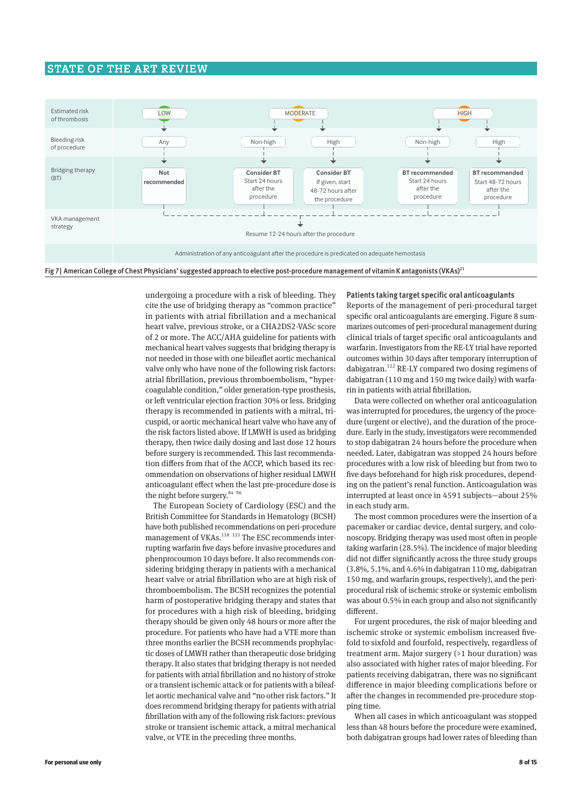

undergoing a procedure with a risk of bleeding. They cite the use of bridging therapy as "common practice" in patients with atrial fibrillation and a mechanical heart valve, previous stroke, or a CHA2DS2-VASc score of 2 or more. The ACC/AHA guideline for patients with mechanical heart valves suggests that bridging therapy is not needed in those with one bileaflet aortic mechanical valve only who have none of the following risk factors: atrial fibrillation, previous thromboembolism, "hypercoagulable condition," older generation-type prosthesis, or left ventricular ejection fraction 30% or less. Bridging therapy is recommended in patients with a mitral, tricuspid, or aortic mechanical heart valve who have any of the risk factors listed above. If LMWH is used as bridging therapy, then twice daily dosing and last dose 12 hours before surgery is recommended. This last recommendation differs from that of the ACCP, which based its recommendation on observations of higher residual LMWH anticoagulant effect when the last pre-procedure dose is the night before surgery.<sup>84 96</sup>

The European Society of Cardiology (ESC) and the British Committee for Standards in Hematology (BCSH) have both published recommendations on peri-procedure management of VKAs.<sup>118</sup> <sup>121</sup> The ESC recommends interrupting warfarin five days before invasive procedures and phenprocoumon 10 days before. It also recommends considering bridging therapy in patients with a mechanical heart valve or atrial fibrillation who are at high risk of thromboembolism. The BCSH recognizes the potential harm of postoperative bridging therapy and states that for procedures with a high risk of bleeding, bridging therapy should be given only 48 hours or more after the procedure. For patients who have had a VTE more than three months earlier the BCSH recommends prophylactic doses of LMWH rather than therapeutic dose bridging therapy. It also states that bridging therapy is not needed for patients with atrial fibrillation and no history of stroke or a transient ischemic attack or for patients with a bileaflet aortic mechanical valve and "no other risk factors." It does recommend bridging therapy for patients with atrial fibrillation with any of the following risk factors: previous stroke or transient ischemic attack, a mitral mechanical valve, or VTE in the preceding three months.

Patients taking target specific oral anticoagulants Reports of the management of peri-procedural target specific oral anticoagulants are emerging. Figure 8 summarizes outcomes of peri-procedural management during clinical trials of target specific oral anticoagulants and warfarin. Investigators from the RE-LY trial have reported outcomes within 30 days after temporary interruption of dabigatran.122 RE-LY compared two dosing regimens of dabigatran (110 mg and 150 mg twice daily) with warfarin in patients with atrial fibrillation.

Data were collected on whether oral anticoagulation was interrupted for procedures, the urgency of the procedure (urgent or elective), and the duration of the procedure. Early in the study, investigators were recommended to stop dabigatran 24 hours before the procedure when needed. Later, dabigatran was stopped 24 hours before procedures with a low risk of bleeding but from two to five days beforehand for high risk procedures, depending on the patient's renal function. Anticoagulation was interrupted at least once in 4591 subjects—about 25% in each study arm.

The most common procedures were the insertion of a pacemaker or cardiac device, dental surgery, and colonoscopy. Bridging therapy was used most often in people taking warfarin (28.5%). The incidence of major bleeding did not differ significantly across the three study groups (3.8%, 5.1%, and 4.6% in dabigatran 110 mg, dabigatran 150 mg, and warfarin groups, respectively), and the periprocedural risk of ischemic stroke or systemic embolism was about 0.5% in each group and also not significantly different.

For urgent procedures, the risk of major bleeding and ischemic stroke or systemic embolism increased fivefold to sixfold and fourfold, respectively, regardless of treatment arm. Major surgery (>1 hour duration) was also associated with higher rates of major bleeding. For patients receiving dabigatran, there was no significant difference in major bleeding complications before or after the changes in recommended pre-procedure stopping time.

When all cases in which anticoagulant was stopped less than 48 hours before the procedure were examined, both dabigatran groups had lower rates of bleeding than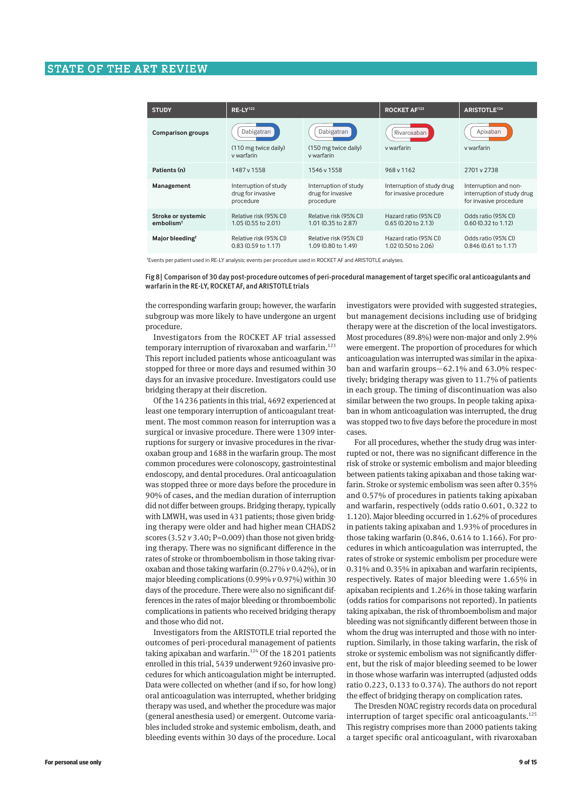| <b>STUDY</b>                                | <b>RE-LY122</b>                                         |                                                         | ROCKET AF <sup>123</sup>                             | <b>ARISTOTLE124</b>                                                           |
|---------------------------------------------|---------------------------------------------------------|---------------------------------------------------------|------------------------------------------------------|-------------------------------------------------------------------------------|
| <b>Comparison groups</b>                    | Dabigatran<br>(110 mg twice daily)<br>y warfarin        | Dabigatran<br>(150 mg twice daily)<br>y warfarin        | Rivaroxaban<br>y warfarin                            | Apixaban<br>y warfarin                                                        |
| Patients (n)                                | 1487 v 1558                                             | 1546 v 1558                                             | 968 v 1162                                           | 2701 v 2738                                                                   |
| Management                                  | Interruption of study<br>drug for invasive<br>procedure | Interruption of study<br>drug for invasive<br>procedure | Interruption of study drug<br>for invasive procedure | Interruption and non-<br>interruption of study drug<br>for invasive procedure |
| Stroke or systemic<br>embolism <sup>†</sup> | Relative risk (95% CI)<br>1.05 (0.55 to 2.01)           | Relative risk (95% CI)<br>1.01 (0.35 to 2.87)           | Hazard ratio (95% CI)<br>0.65 (0.20 to 2.13)         | Odds ratio (95% CI)<br>0.60 (0.32 to 1.12)                                    |
| Major bleeding <sup>+</sup>                 | Relative risk (95% CI)<br>0.83 (0.59 to 1.17)           | Relative risk (95% CI)<br>1.09 (0.80 to 1.49)           | Hazard ratio (95% CI)<br>1.02 (0.50 to 2.06)         | Odds ratio (95% CI)<br>0.846 (0.61 to 1.17)                                   |

†Events per patient used in RE-LY analysis; events per procedure used in ROCKET AF and ARISTOTLE analyses.

Fig 8| Comparison of 30 day post-procedure outcomes of peri-procedural management of target specific oral anticoagulants and warfarin in the RE-LY, ROCKET AF, and ARISTOTLE trials

the corresponding warfarin group; however, the warfarin subgroup was more likely to have undergone an urgent procedure.

Investigators from the ROCKET AF trial assessed temporary interruption of rivaroxaban and warfarin.<sup>123</sup> This report included patients whose anticoagulant was stopped for three or more days and resumed within 30 days for an invasive procedure. Investigators could use bridging therapy at their discretion.

Of the 14236 patients in this trial, 4692 experienced at least one temporary interruption of anticoagulant treatment. The most common reason for interruption was a surgical or invasive procedure. There were 1309 interruptions for surgery or invasive procedures in the rivaroxaban group and 1688 in the warfarin group. The most common procedures were colonoscopy, gastrointestinal endoscopy, and dental procedures. Oral anticoagulation was stopped three or more days before the procedure in 90% of cases, and the median duration of interruption did not differ between groups. Bridging therapy, typically with LMWH, was used in 431 patients; those given bridging therapy were older and had higher mean CHADS2 scores  $(3.52 \nu)3.40$ ; P=0.009) than those not given bridging therapy. There was no significant difference in the rates of stroke or thromboembolism in those taking rivaroxaban and those taking warfarin (0.27% *v* 0.42%), or in major bleeding complications (0.99% *v* 0.97%) within 30 days of the procedure. There were also no significant differences in the rates of major bleeding or thromboembolic complications in patients who received bridging therapy and those who did not.

Investigators from the ARISTOTLE trial reported the outcomes of peri-procedural management of patients taking apixaban and warfarin.<sup>124</sup> Of the 18201 patients enrolled in this trial, 5439 underwent 9260 invasive procedures for which anticoagulation might be interrupted. Data were collected on whether (and if so, for how long) oral anticoagulation was interrupted, whether bridging therapy was used, and whether the procedure was major (general anesthesia used) or emergent. Outcome varia‑ bles included stroke and systemic embolism, death, and bleeding events within 30 days of the procedure. Local

investigators were provided with suggested strategies, but management decisions including use of bridging therapy were at the discretion of the local investigators. Most procedures (89.8%) were non-major and only 2.9% were emergent. The proportion of procedures for which anticoagulation was interrupted was similar in the apixaban and warfarin groups-62.1% and 63.0% respectively; bridging therapy was given to 11.7% of patients in each group. The timing of discontinuation was also similar between the two groups. In people taking apixaban in whom anticoagulation was interrupted, the drug was stopped two to five days before the procedure in most cases.

For all procedures, whether the study drug was interrupted or not, there was no significant difference in the risk of stroke or systemic embolism and major bleeding between patients taking apixaban and those taking warfarin. Stroke or systemic embolism was seen after 0.35% and 0.57% of procedures in patients taking apixaban and warfarin, respectively (odds ratio 0.601, 0.322 to 1.120). Major bleeding occurred in 1.62% of procedures in patients taking apixaban and 1.93% of procedures in those taking warfarin  $(0.846, 0.614$  to  $1.166$ ). For procedures in which anticoagulation was interrupted, the rates of stroke or systemic embolism per procedure were 0.31% and 0.35% in apixaban and warfarin recipients, respectively. Rates of major bleeding were 1.65% in apixaban recipients and 1.26% in those taking warfarin (odds ratios for comparisons not reported). In patients taking apixaban, the risk of thromboembolism and major bleeding was not significantly different between those in whom the drug was interrupted and those with no interruption. Similarly, in those taking warfarin, the risk of stroke or systemic embolism was not significantly different, but the risk of major bleeding seemed to be lower in those whose warfarin was interrupted (adjusted odds ratio 0.223, 0.133 to 0.374). The authors do not report the effect of bridging therapy on complication rates.

The Dresden NOAC registry records data on procedural interruption of target specific oral anticoagulants.<sup>125</sup> This registry comprises more than 2000 patients taking a target specific oral anticoagulant, with rivaroxaban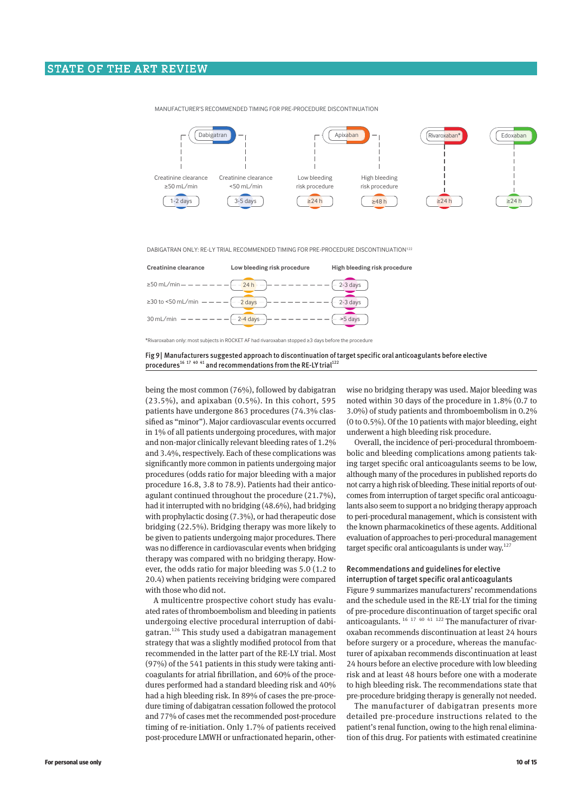

MANUFACTURER'S RECOMMENDED TIMING FOR PRE-PROCEDURE DISCONTINUATION

DARIGATRAN ONLY' RE-LY TRIAL RECOMMENDED TIMING FOR PRE-PROCEDURE DISCONTINUATION<sup>122</sup>

| Creatinine clearance | Low bleeding risk procedure                                                                      | High bleeding risk procedure |
|----------------------|--------------------------------------------------------------------------------------------------|------------------------------|
|                      | ≥50 mL/min — — — — — — — — <mark>— − 24 h</mark> — — — — — — — — — — — — — <sup>—</sup> 2-3 days |                              |
|                      | ≥30 to <50 mL/min  — — — — — <mark>— 2 days</mark> — — — — — — — — — — — — <sup>—</sup> 2-3 days |                              |
|                      | 30 mL/min $------(-2-4 \text{ days}^-) --- --- --- --- -(-55 \text{ days}$                       |                              |

\*Rivaroxaban only: most subjects in ROCKET AF had rivaroxaban stopped ≥3 days before the procedure

Fig 9| Manufacturers suggested approach to discontinuation of target specific oral anticoagulants before elective procedures<sup>16 17 40 41</sup> and recommendations from the RE-LY trial<sup>122</sup>

being the most common (76%), followed by dabigatran (23.5%), and apixaban (0.5%). In this cohort, 595 patients have undergone 863 procedures (74.3% classified as "minor"). Major cardiovascular events occurred in 1% of all patients undergoing procedures, with major and non-major clinically relevant bleeding rates of 1.2% and 3.4%, respectively. Each of these complications was significantly more common in patients undergoing major procedures (odds ratio for major bleeding with a major procedure 16.8, 3.8 to 78.9). Patients had their anticoagulant continued throughout the procedure (21.7%), had it interrupted with no bridging (48.6%), had bridging with prophylactic dosing (7.3%), or had therapeutic dose bridging (22.5%). Bridging therapy was more likely to be given to patients undergoing major procedures. There was no difference in cardiovascular events when bridging therapy was compared with no bridging therapy. How‑ ever, the odds ratio for major bleeding was 5.0 (1.2 to 20.4) when patients receiving bridging were compared with those who did not.

A multicentre prospective cohort study has evaluated rates of thromboembolism and bleeding in patients undergoing elective procedural interruption of dabigatran.<sup>126</sup> This study used a dabigatran management strategy that was a slightly modified protocol from that recommended in the latter part of the RE-LY trial. Most  $(97%)$  of the 541 patients in this study were taking anticoagulants for atrial fibrillation, and 60% of the procedures performed had a standard bleeding risk and 40% had a high bleeding risk. In 89% of cases the pre-procedure timing of dabigatran cessation followed the protocol and 77% of cases met the recommended post-procedure timing of re-initiation. Only 1.7% of patients received post-procedure LMWH or unfractionated heparin, otherwise no bridging therapy was used. Major bleeding was noted within 30 days of the procedure in 1.8% (0.7 to 3.0%) of study patients and thromboembolism in 0.2% (0 to 0.5%). Of the 10 patients with major bleeding, eight underwent a high bleeding risk procedure.

Overall, the incidence of peri-procedural thromboembolic and bleeding complications among patients taking target specific oral anticoagulants seems to be low, although many of the procedures in published reports do not carry a high risk of bleeding. These initial reports of outcomes from interruption of target specific oral anticoagulants also seem to support a no bridging therapy approach to peri-procedural management, which is consistent with the known pharmacokinetics of these agents. Additional evaluation of approaches to peri-procedural management target specific oral anticoagulants is under way.<sup>12</sup>

## Recommendations and guidelines for elective interruption of target specific oral anticoagulants

Figure 9 summarizes manufacturers' recommendations and the schedule used in the RE-LY trial for the timing of pre-procedure discontinuation of target specific oral anticoagulants.  $16 \frac{174041}{122}$  The manufacturer of rivaroxaban recommends discontinuation at least 24 hours before surgery or a procedure, whereas the manufacturer of apixaban recommends discontinuation at least 24 hours before an elective procedure with low bleeding risk and at least 48 hours before one with a moderate to high bleeding risk. The recommendations state that pre-procedure bridging therapy is generally not needed.

The manufacturer of dabigatran presents more detailed pre-procedure instructions related to the patient's renal function, owing to the high renal elimination of this drug. For patients with estimated creatinine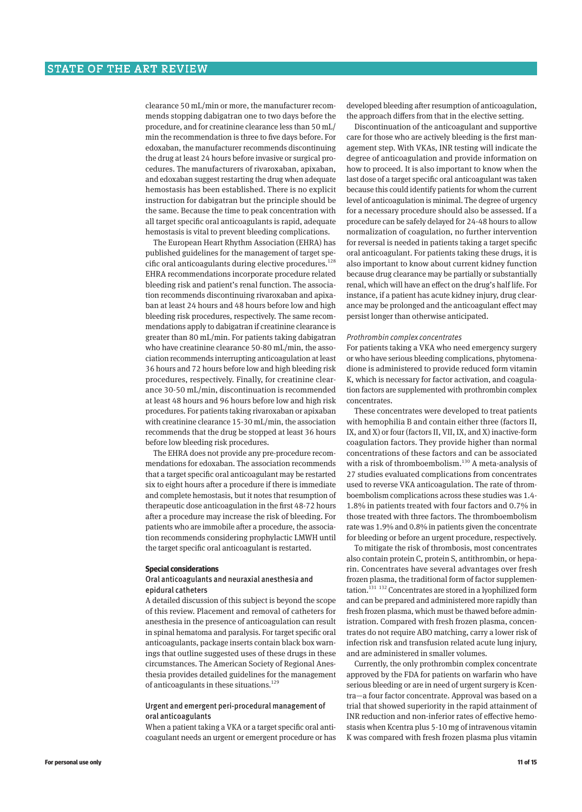clearance 50 mL/min or more, the manufacturer recommends stopping dabigatran one to two days before the procedure, and for creatinine clearance less than 50 mL/ min the recommendation is three to five days before. For edoxaban, the manufacturer recommends discontinuing the drug at least 24 hours before invasive or surgical procedures. The manufacturers of rivaroxaban, apixaban, and edoxaban suggest restarting the drug when adequate hemostasis has been established. There is no explicit instruction for dabigatran but the principle should be the same. Because the time to peak concentration with all target specific oral anticoagulants is rapid, adequate hemostasis is vital to prevent bleeding complications.

The European Heart Rhythm Association (EHRA) has published guidelines for the management of target specific oral anticoagulants during elective procedures.<sup>128</sup> EHRA recommendations incorporate procedure related bleeding risk and patient's renal function. The association recommends discontinuing rivaroxaban and apixaban at least 24 hours and 48 hours before low and high bleeding risk procedures, respectively. The same recommendations apply to dabigatran if creatinine clearance is greater than 80 mL/min. For patients taking dabigatran who have creatinine clearance 50-80 mL/min, the association recommends interrupting anticoagulation at least 36 hours and 72 hours before low and high bleeding risk procedures, respectively. Finally, for creatinine clearance 30-50 mL/min, discontinuation is recommended at least 48 hours and 96 hours before low and high risk procedures. For patients taking rivaroxaban or apixaban with creatinine clearance 15-30 mL/min, the association recommends that the drug be stopped at least 36 hours before low bleeding risk procedures.

The EHRA does not provide any pre-procedure recommendations for edoxaban. The association recommends that a target specific oral anticoagulant may be restarted six to eight hours after a procedure if there is immediate and complete hemostasis, but it notes that resumption of therapeutic dose anticoagulation in the first 48-72 hours after a procedure may increase the risk of bleeding. For patients who are immobile after a procedure, the association recommends considering prophylactic LMWH until the target specific oral anticoagulant is restarted.

#### **Special considerations**

#### Oral anticoagulants and neuraxial anesthesia and epidural catheters

A detailed discussion of this subject is beyond the scope of this review. Placement and removal of catheters for anesthesia in the presence of anticoagulation can result in spinal hematoma and paralysis. For target specific oral anticoagulants, package inserts contain black box warn‑ ings that outline suggested uses of these drugs in these circumstances. The American Society of Regional Anesthesia provides detailed guidelines for the management of anticoagulants in these situations.<sup>129</sup>

#### Urgent and emergent peri-procedural management of oral anticoagulants

When a patient taking a VKA or a target specific oral anticoagulant needs an urgent or emergent procedure or has

developed bleeding after resumption of anticoagulation, the approach differs from that in the elective setting.

Discontinuation of the anticoagulant and supportive care for those who are actively bleeding is the first management step. With VKAs, INR testing will indicate the degree of anticoagulation and provide information on how to proceed. It is also important to know when the last dose of a target specific oral anticoagulant was taken because this could identify patients for whom the current level of anticoagulation is minimal. The degree of urgency for a necessary procedure should also be assessed. If a procedure can be safely delayed for 24-48 hours to allow normalization of coagulation, no further intervention for reversal is needed in patients taking a target specific oral anticoagulant. For patients taking these drugs, it is also important to know about current kidney function because drug clearance may be partially or substantially renal, which will have an effect on the drug's half life. For instance, if a patient has acute kidney injury, drug clearance may be prolonged and the anticoagulant effect may persist longer than otherwise anticipated.

#### *Prothrombin complex concentrates*

For patients taking a VKA who need emergency surgery or who have serious bleeding complications, phytomenadione is administered to provide reduced form vitamin K, which is necessary for factor activation, and coagulation factors are supplemented with prothrombin complex concentrates.

These concentrates were developed to treat patients with hemophilia B and contain either three (factors II, IX, and X) or four (factors II, VII, IX, and X) inactive-form coagulation factors. They provide higher than normal concentrations of these factors and can be associated with a risk of thromboembolism.<sup>130</sup> A meta-analysis of 27 studies evaluated complications from concentrates used to reverse VKA anticoagulation. The rate of thromboembolism complications across these studies was 1.4-1.8% in patients treated with four factors and 0.7% in those treated with three factors. The thromboembolism rate was 1.9% and 0.8% in patients given the concentrate for bleeding or before an urgent procedure, respectively.

To mitigate the risk of thrombosis, most concentrates also contain protein C, protein S, antithrombin, or heparin. Concentrates have several advantages over fresh frozen plasma, the traditional form of factor supplementation.131 132 Concentrates are stored in a lyophilized form and can be prepared and administered more rapidly than fresh frozen plasma, which must be thawed before administration. Compared with fresh frozen plasma, concentrates do not require ABO matching, carry a lower risk of infection risk and transfusion related acute lung injury, and are administered in smaller volumes.

Currently, the only prothrombin complex concentrate approved by the FDA for patients on warfarin who have serious bleeding or are in need of urgent surgery is Kcentra—a four factor concentrate. Approval was based on a trial that showed superiority in the rapid attainment of INR reduction and non-inferior rates of effective hemostasis when Kcentra plus 5-10 mg of intravenous vitamin K was compared with fresh frozen plasma plus vitamin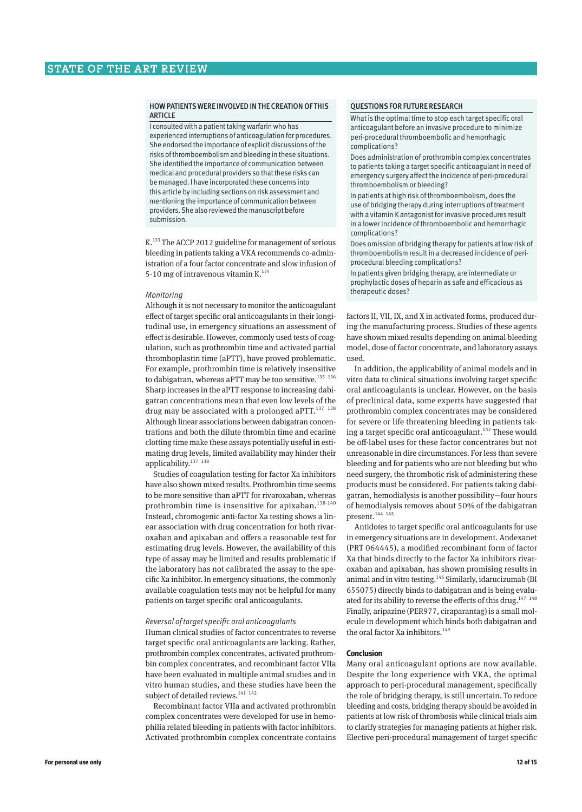#### HOW PATIENTS WERE INVOLVED IN THE CREATION OF THIS ARTICLE

I consulted with a patient taking warfarin who has experienced interruptions of anticoagulation for procedures. She endorsed the importance of explicit discussions of the risks of thromboembolism and bleeding in these situations. She identified the importance of communication between medical and procedural providers so that these risks can be managed. I have incorporated these concerns into this article by including sections on risk assessment and mentioning the importance of communication between providers. She also reviewed the manuscript before submission.

K.<sup>133</sup> The ACCP 2012 guideline for management of serious bleeding in patients taking a VKA recommends co-administration of a four factor concentrate and slow infusion of 5-10 mg of intravenous vitamin  $K<sup>134</sup>$ 

#### *Monitoring*

Although it is not necessary to monitor the anticoagulant effect of target specific oral anticoagulants in their longitudinal use, in emergency situations an assessment of effect is desirable. However, commonly used tests of coagulation, such as prothrombin time and activated partial thromboplastin time (aPTT), have proved problematic. For example, prothrombin time is relatively insensitive to dabigatran, whereas aPTT may be too sensitive. $135$   $136$ Sharp increases in the aPTT response to increasing dabigatran concentrations mean that even low levels of the drug may be associated with a prolonged aPTT. $^{137}$   $^{138}$ Although linear associations between dabigatran concentrations and both the dilute thrombin time and ecarine clotting time make these assays potentially useful in estimating drug levels, limited availability may hinder their applicability.<sup>137</sup><sup>138</sup>

Studies of coagulation testing for factor Xa inhibitors have also shown mixed results. Prothrombin time seems to be more sensitive than aPTT for rivaroxaban, whereas prothrombin time is insensitive for apixaban.<sup>138-140</sup> Instead, chromogenic anti-factor Xa testing shows a linear association with drug concentration for both rivaroxaban and apixaban and offers a reasonable test for estimating drug levels. However, the availability of this type of assay may be limited and results problematic if the laboratory has not calibrated the assay to the specific Xa inhibitor. In emergency situations, the commonly available coagulation tests may not be helpful for many patients on target specific oral anticoagulants.

#### *Reversal of target specific oral anticoagulants*

Human clinical studies of factor concentrates to reverse target specific oral anticoagulants are lacking. Rather, prothrombin complex concentrates, activated prothrombin complex concentrates, and recombinant factor VIIa have been evaluated in multiple animal studies and in vitro human studies, and these studies have been the subject of detailed reviews.<sup>141 142</sup>

Recombinant factor VIIa and activated prothrombin complex concentrates were developed for use in hemophilia related bleeding in patients with factor inhibitors. Activated prothrombin complex concentrate contains What is the optimal time to stop each target specific oral anticoagulant before an invasive procedure to minimize peri-procedural thromboembolic and hemorrhagic complications?

Does administration of prothrombin complex concentrates to patients taking a target specific anticoagulant in need of emergency surgery affect the incidence of peri-procedural thromboembolism or bleeding?

In patients at high risk of thromboembolism, does the use of bridging therapy during interruptions of treatment with a vitamin K antagonist for invasive procedures result in a lower incidence of thromboembolic and hemorrhagic complications?

Does omission of bridging therapy for patients at low risk of thromboembolism result in a decreased incidence of periprocedural bleeding complications?

In patients given bridging therapy, are intermediate or prophylactic doses of heparin as safe and efficacious as therapeutic doses?

factors II, VII, IX, and X in activated forms, produced during the manufacturing process. Studies of these agents have shown mixed results depending on animal bleeding model, dose of factor concentrate, and laboratory assays used.

In addition, the applicability of animal models and in vitro data to clinical situations involving target specific oral anticoagulants is unclear. However, on the basis of preclinical data, some experts have suggested that prothrombin complex concentrates may be considered for severe or life threatening bleeding in patients taking a target specific oral anticoagulant.<sup>143</sup> These would be off-label uses for these factor concentrates but not unreasonable in dire circumstances. For less than severe bleeding and for patients who are not bleeding but who need surgery, the thrombotic risk of administering these products must be considered. For patients taking dabigatran, hemodialysis is another possibility—four hours of hemodialysis removes about 50% of the dabigatran present.<sup>144</sup> <sup>145</sup>

Antidotes to target specific oral anticoagulants for use in emergency situations are in development. Andexanet (PRT 064445), a modified recombinant form of factor Xa that binds directly to the factor Xa inhibitors rivaroxaban and apixaban, has shown promising results in animal and in vitro testing.<sup>146</sup> Similarly, idarucizumab (BI 655075) directly binds to dabigatran and is being evalu‑ ated for its ability to reverse the effects of this drug.<sup>147</sup> <sup>148</sup> Finally, aripazine (PER977, ciraparantag) is a small mol‑ ecule in development which binds both dabigatran and the oral factor Xa inhibitors.<sup>149</sup>

#### **Conclusion**

Many oral anticoagulant options are now available. Despite the long experience with VKA, the optimal approach to peri-procedural management, specifically the role of bridging therapy, is still uncertain. To reduce bleeding and costs, bridging therapy should be avoided in patients at low risk of thrombosis while clinical trials aim to clarify strategies for managing patients at higher risk. Elective peri-procedural management of target specific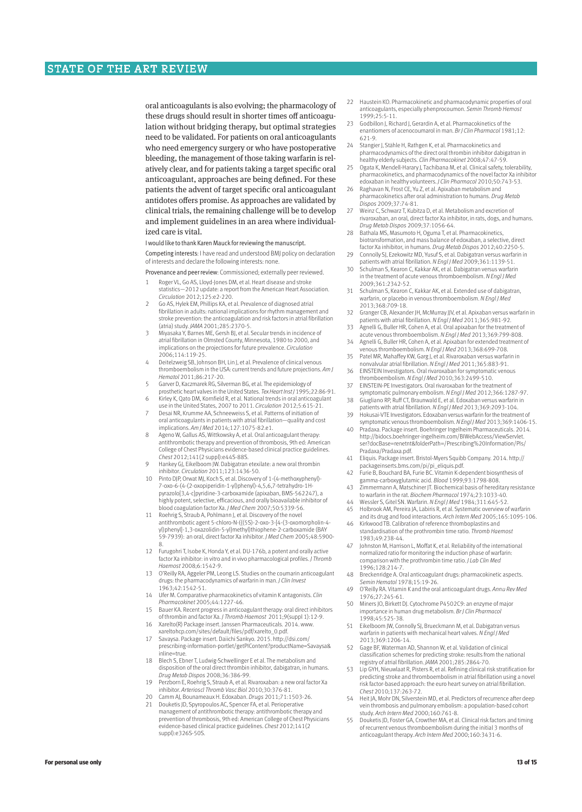oral anticoagulants is also evolving; the pharmacology of these drugs should result in shorter times off anticoagulation without bridging therapy, but optimal strategies need to be validated. For patients on oral anticoagulants who need emergency surgery or who have postoperative bleeding, the management of those taking warfarin is relatively clear, and for patients taking a target specific oral anticoagulant, approaches are being defined. For these patients the advent of target specific oral anticoagulant antidotes offers promise. As approaches are validated by clinical trials, the remaining challenge will be to develop and implement guidelines in an area where individualized care is vital.

#### I would like to thank Karen Mauck for reviewing the manuscript.

Competing interests: I have read and understood BMJ policy on declaration of interests and declare the following interests: none.

Provenance and peer review: Commissioned; externally peer reviewed.

- Roger VL, Go AS, Lloyd-Jones DM, et al. Heart disease and stroke statistics—2012 update: a report from the American Heart Association. *Circulation* 2012;125:e2-220.
- 2 Go AS, Hylek EM, Phillips KA, et al. Prevalence of diagnosed atrial fibrillation in adults: national implications for rhythm management and stroke prevention: the anticoagulation and risk factors in atrial fibrillation (atria) study. *JAMA* 2001;285:2370-5.
- 3 Miyasaka Y, Barnes ME, Gersh BJ, et al. Secular trends in incidence of atrial fibrillation in Olmsted County, Minnesota, 1980 to 2000, and implications on the projections for future prevalence. *Circulation* 2006;114:119-25.
- Deitelzweig SB, Johnson BH, Lin J, et al. Prevalence of clinical venous thromboembolism in the USA: current trends and future projections. *Am J Hematol* 2011;86:217-20.
- 5 Garver D, Kaczmarek RG, Silverman BG, et al. The epidemiology of prosthetic heart valves in the United States. *Tex Heart Inst J* 1995;22:86-91.
- 6 Kirley K, Qato DM, Kornfield R, et al. National trends in oral anticoagulant use in the United States, 2007 to 2011. *Circulation* 2012;5:615-21.
- 7 Desai NR, Krumme AA, Schneeweiss S, et al. Patterns of initiation of oral anticoagulants in patients with atrial fibrillation—quality and cost implications. *Am J Med* 2014;127:1075-82.e1.
- 8 Ageno W, Gallus AS, Wittkowsky A, et al. Oral anticoagulant therapy: antithrombotic therapy and prevention of thrombosis, 9th ed: American College of Chest Physicians evidence-based clinical practice guidelines. *Chest* 2012;141(2 suppl):e44S-88S.
- 9 Hankey GJ, Eikelboom JW. Dabigatran etexilate: a new oral thrombin inhibitor. *Circulation* 2011;123:1436-50.
- 10 Pinto DJP, Orwat MJ, Koch S, et al. Discovery of 1-(4-methoxyphenyl)- 7-oxo-6-(4-(2-oxopiperidin-1-yl)phenyl)-4,5,6,7-tetrahydro-1Hpyrazolo[3,4-c]pyridine-3-carboxamide (apixaban, BMS-562247), a highly potent, selective, efficacious, and orally bioavailable inhibitor of blood coagulation factor Xa. *J Med Chem* 2007;50:5339-56.
- 11 Roehrig S, Straub A, Pohlmann J, et al. Discovery of the novel antithrombotic agent 5-chloro-N-({(5S)-2-oxo-3-[4-(3-oxomorpholin-4 yl)phenyl]-1,3-oxazolidin-5-yl}methyl)thiophene-2-carboxamide (BAY 59-7939): an oral, direct factor Xa inhibitor. *J Med Chem* 2005;48:5900-
- 8. 12 Furugohri T, Isobe K, Honda Y, et al. DU-176b, a potent and orally active factor Xa inhibitor: in vitro and in vivo pharmacological profiles. *J Thromb Haemost* 2008;6:1542-9.
- 13 O'Reilly RA, Aggeler PM, Leong LS. Studies on the coumarin anticoagulant drugs: the pharmacodynamics of warfarin in man. *J Clin Invest* 1963;42:1542-51.
- 14 Ufer M. Comparative pharmacokinetics of vitamin K antagonists. *Clin Pharmacokinet* 2005;44:1227-46.
- 15 Bauer KA. Recent progress in anticoagulant therapy: oral direct inhibitors of thrombin and factor Xa. *J Thromb Haemost* 2011;9(suppl 1):12-9.
- 16 Xarelto(R) Package insert. Janssen Pharmaceuticals. 2014. www. xareltohcp.com/sites/default/files/pdf/xarelto\_0.pdf. 17 Savaysa. Package insert. Daiichi Sankyo. 2015. http://dsi.com/
- prescribing-information-portlet/getPIContent?productName=Savaysa& inline=true. 18 Blech S, Ebner T, Ludwig-Schwellinger E et al. The metabolism and
- disposition of the oral direct thrombin inhibitor, dabigatran, in humans. *Drug Metab Dispos* 2008;36:386-99.
- 19 Perzborn E, Roehrig S, Straub A, et al. Rivaroxaban: a new oral factor Xa inhibitor. *Arterioscl Thromb Vasc Biol* 2010;30:376-81.
- 20 Camm AJ, Bounameaux H. Edoxaban. *Drugs* 2011;71:1503-26. Douketis JD, Spyropoulos AC, Spencer FA, et al. Perioperative management of antithrombotic therapy: antithrombotic therapy and prevention of thrombosis, 9th ed: American College of Chest Physicians evidence-based clinical practice guidelines. *Chest* 2012;141(2

suppl):e326S-50S.

- 22 Haustein KO. Pharmacokinetic and pharmacodynamic properties of oral anticoagulants, especially phenprocoumon. *Semin Thromb Hemost* 1999;25:5-11.
- 23 Godbillon J, Richard J, Gerardin A, et al. Pharmacokinetics of the enantiomers of acenocoumarol in man. *Br J Clin Pharmacol* 1981;12: 621-9.
- 24 Stangier J, Stähle H, Rathgen K, et al. Pharmacokinetics and pharmacodynamics of the direct oral thrombin inhibitor dabigatran in healthy elderly subjects. *Clin Pharmacokinet* 2008;47:47-59.
- Ogata K, Mendell-Harary J, Tachibana M, et al. Clinical safety, tolerability, pharmacokinetics, and pharmacodynamics of the novel factor Xa inhibitor edoxaban in healthy volunteers. *J Clin Pharmacol* 2010;50:743-53.
- 26 Raghavan N, Frost CE, Yu Z, et al. Apixaban metabolism and pharmacokinetics after oral administration to humans. *Drug Metab Dispos* 2009;37:74-81.
- 27 Weinz C, Schwarz T, Kubitza D, et al. Metabolism and excretion of rivaroxaban, an oral, direct factor Xa inhibitor, in rats, dogs, and humans. *Drug Metab Dispos* 2009;37:1056-64.
- Bathala MS, Masumoto H, Oguma T, et al. Pharmacokinetics, biotransformation, and mass balance of edoxaban, a selective, direct factor Xa inhibitor, in humans. *Drug Metab Dispos* 2012;40:2250-5. 29 Connolly SJ, Ezekowitz MD, Yusuf S, et al. Dabigatran versus warfarin in
- patients with atrial fibrillation. *N Engl J Med* 2009;361:1139-51.
- 30 Schulman S, Kearon C, Kakkar AK, et al. Dabigatran versus warfarin in the treatment of acute venous thromboembolism. *N Engl J Med* 2009;361:2342-52.
- 31 Schulman S, Kearon C, Kakkar AK, et al. Extended use of dabigatran, warfarin, or placebo in venous thromboembolism. *N Engl J Med* 2013;368:709-18.
- 32 Granger CB, Alexander JH, McMurray JJV, et al. Apixaban versus warfarin in patients with atrial fibrillation. *N Engl J Med* 2011;365:981-92. 33 Agnelli G, Buller HR, Cohen A, et al. Oral apixaban for the treatment of
- acute venous thromboembolism. *N Engl J Med* 2013;369:799-808. 34 Agnelli G, Buller HR, Cohen A, et al. Apixaban for extended treatment of
- venous thromboembolism. *N Engl J Med* 2013;368:699-708.
- 35 Patel MR, Mahaffey KW, Garg J, et al. Rivaroxaban versus warfarin in nonvalvular atrial fibrillation. *N Engl J Med* 2011;365:883-91. 36 EINSTEIN Investigators. Oral rivaroxaban for symptomatic venous
- thromboembolism. *N Engl J Med* 2010;363:2499-510. 37 EINSTEIN-PE Investigators. Oral rivaroxaban for the treatment of symptomatic pulmonary embolism. *N Engl J Med* 2012;366:1287-97.
- 38 Giugliano RP, Ruff CT, Braunwald E, et al. Edoxaban versus warfarin in
- patients with atrial fibrillation. *N Engl J Med* 2013;369:2093-104. 39 Hokusai-VTE Investigators. Edoxaban versus warfarin for the treatment of symptomatic venous thromboembolism. *N Engl J Med* 2013;369:1406-15.
- 40 Pradaxa. Package insert. Boehringer Ingelheim Pharmaceuticals. 2014. http://bidocs.boehringer-ingelheim.com/BIWebAccess/ViewServlet. ser?docBase=renetnt&folderPath=/Prescribing%20Information/PIs/ Pradaxa/Pradaxa.pdf.
- 41 Eliquis. Package insert. Bristol-Myers Squibb Company. 2014. http:// packageinserts.bms.com/pi/pi\_eliquis.pdf.
- 42 Furie B, Bouchard BA, Furie BC. Vitamin K-dependent biosynthesis of gamma-carboxyglutamic acid. *Blood* 1999;93:1798-808.
- 43 Zimmermann A, Matschiner JT. Biochemical basis of hereditary resistance to warfarin in the rat. *Biochem Pharmacol* 1974;23:1033-40.
- 44 Wessler S, Gitel SN. Warfarin. *N Engl J Med* 1984;311:645-52. 45 Holbrook AM, Pereira JA, Labiris R, et al. Systematic overview of warfarin
- and its drug and food interactions. *Arch Intern Med* 2005;165:1095-106. 46 Kirkwood TB. Calibration of reference thromboplastins and standardisation of the prothrombin time ratio. *Thromb Haemost*
- 1983;49:238-44. 47 Johnston M, Harrison L, Moffat K, et al. Reliability of the international normalized ratio for monitoring the induction phase of warfarin:
- comparison with the prothrombin time ratio. *J Lab Clin Med* 1996;128:214-7.
- 48 Breckenridge A. Oral anticoagulant drugs: pharmacokinetic aspects. *Semin Hematol* 1978;15:19-26. 49 O'Reilly RA. Vitamin K and the oral anticoagulant drugs. *Annu Rev Med*
- 1976;27:245-61. 50 Miners JO, Birkett DJ. Cytochrome P4502C9: an enzyme of major
- importance in human drug metabolism. *Br J Clin Pharmacol* 1998;45:525-38.
- 51 Eikelboom JW, Connolly SJ, Brueckmann M, et al. Dabigatran versus warfarin in patients with mechanical heart valves. *N Engl J Med* 2013;369:1206-14.
- 52 Gage BF, Waterman AD, Shannon W, et al. Validation of clinical classification schemes for predicting stroke: results from the national
- registry of atrial fibrillation. *JAMA* 2001;285:2864-70. 53 Lip GYH, Nieuwlaat R, Pisters R, et al. Refining clinical risk stratification for predicting stroke and thromboembolism in atrial fibrillation using a novel risk factor-based approach: the euro heart survey on atrial fibrillation. *Chest* 2010;137:263-72.
- Heit JA, Mohr DN, Silverstein MD, et al. Predictors of recurrence after deep vein thrombosis and pulmonary embolism: a population-based cohort study. *Arch Intern Med* 2000;160:761-8.
- 55 Douketis JD, Foster GA, Crowther MA, et al. Clinical risk factors and timing of recurrent venous thromboembolism during the initial 3 months of anticoagulant therapy. *Arch Intern Med* 2000;160:3431-6.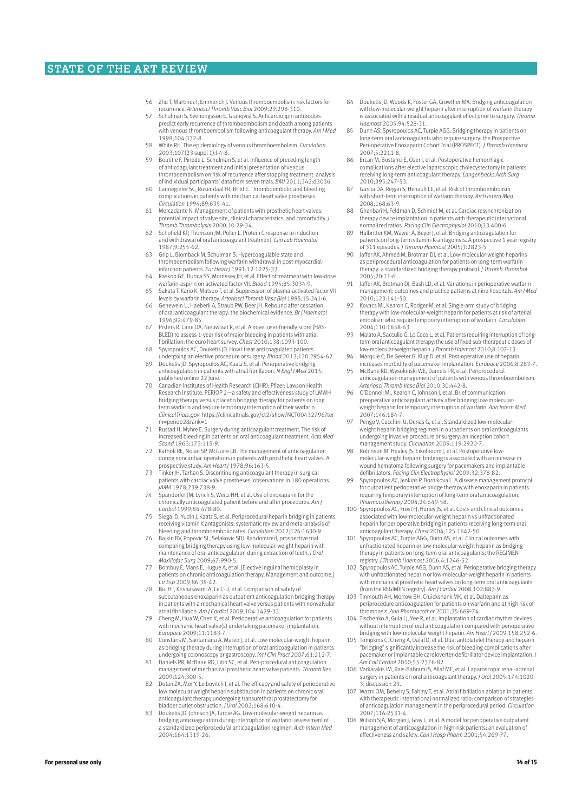- 56 Zhu T, Martinez I, Emmerich J. Venous thromboembolism: risk factors for recurrence. *Arterioscl Thromb Vasc Biol* 2009;29:298-310.
- 57 Schulman S, Svenungsson E, Granqvist S. Anticardiolipin antibodies predict early recurrence of thromboembolism and death among patients with venous thromboembolism following anticoagulant therapy. *Am J Med* 1998;104:332-8.
- 58 White RH. The epidemiology of venous thromboembolism. *Circulation* 2003;107(23 suppl 1):I-4-8.
- 59 Boutitie F, Pinede L, Schulman S, et al. Influence of preceding length of anticoagulant treatment and initial presentation of venous thromboembolism on risk of recurrence after stopping treatment: analysis of individual participants' data from seven trials. *BMJ* 2011;342:d3036.
- Cannegieter SC, Rosendaal FR, Briët E. Thromboembolic and bleeding complications in patients with mechanical heart valve prostheses. *Circulation* 1994;89:635-41.
- 61 Mercadante N. Management of patients with prosthetic heart valves: potential impact of valve site, clinical characteristics, and comorbidity. *J Thromb Thrombolysis* 2000;10:29-34.
- 62 Schofield KP, Thomson JM, Poller L. Protein C response to induction and withdrawal of oral anticoagulant treatment. *Clin Lab Haematol* 1987;9:255-62.
- 63 Grip L, Blomback M, Schulman S. Hypercoagulable state and thromboembolism following warfarin withdrawal in post-myocardialinfarction patients. Fur Heart *J* 1991;12:12:12:13
- 64 Raskob GE, Durica SS, Morrissey JH, et al. Effect of treatment with low-dose warfarin-aspirin on activated factor VII. *Blood* 1995;85:3034-9.
- 65 Sakata T, Kario K, Matsuo T, et al. Suppression of plasma-activated factor VII levels by warfarin therapy. *Arterioscl Thromb Vasc Biol* 1995;15:241-6.
- 66 Genewein U, Haeberli A, Straub PW, Beer JH. Rebound after cessation of oral anticoagulant therapy: the biochemical evidence. *Br J Haematol* 1996;92:479-85.
- 67 Pisters R, Lane DA, Nieuwlaat R, et al. A novel user-friendly score (HAS-BLED) to assess 1-year risk of major bleeding in patients with atrial fibrillation: the euro heart survey. *Chest* 2010;138:1093-100.
- 68 Spyropoulos AC, Douketis JD. How I treat anticoagulated patients undergoing an elective procedure or surgery. *Blood* 2012;120:2954-62. 69 Douketis JD, Spyropoulos AC, Kaatz S, et al. Perioperative bridging
- anticoagulation in patients with atrial fibrillation. *N Engl J Med* 2015; published online 22 June.
- 70 Canadian Institutes of Health Research (CIHR); Pfizer; Lawson Health Research Institute. PERIOP 2—a safety and effectiveness study of LMWH bridging therapy versus placebo bridging therapy for patients on long term warfarin and require temporary interruption of their warfarin. *ClinicalTrials.gov*. https://clinicaltrials.gov/ct2/show/NCT00432796?ter m=periop2&rank=1
- 71 Rustad H, Myhre E. Surgery during anticoagulant treatment. The risk of increased bleeding in patients on oral anticoagulant treatment. *Acta Med Scand* 1963;173:115-9.
- 72 Katholi RE, Nolan SP, McGuire LB. The management of anticoagulation during noncardiac operations in patients with prosthetic heart valves. A prospective study. *Am Heart J* 1978;96:163-5.
- 73 Tinker JH, Tarhan S. Discontinuing anticoagulant therapy in surgical patients with cardiac valve prostheses: observations in 180 operations. *JAMA* 1978;239:738-9.
- Spandorfer JM, Lynch S, Weitz HH, et al. Use of enoxaparin for the chronically anticoagulated patient before and after procedures. *Am J Cardiol* 1999;84:478-80.
- Siegal D, Yudin J, Kaatz S, et al. Periprocedural heparin bridging in patients receiving vitamin K antagonists: systematic review and meta-analysis of bleeding and thromboembolic rates. *Circulation* 2012;126:1630-9.
- Bajkin BV, Popovic SL, Selakovic SDJ. Randomized, prospective trial comparing bridging therapy using low-molecular-weight heparin with maintenance of oral anticoagulation during extraction of teeth. *J Oral Maxillofac Surg* 2009;67:990-5.
- Bombuy E, Mans E, Hugue A, et al. [Elective inguinal hernioplasty in patients on chronic anticoagulation therapy. Management and outcome.] *Cir Esp* 2009;86:38-42.
- Bui HT, Krisnaswami A, Le C-U, et al. Comparison of safety of subcutaneous enoxaparin as outpatient anticoagulation bridging therapy in patients with a mechanical heart valve versus patients with nonvalvular atrial fibrillation. *Am J Cardiol* 2009;104:1429-33.
- 79 Cheng M, Hua W, Chen K, et al. Perioperative anticoagulation for patients with mechanic heart valve(s) undertaking pacemaker implantation. *Europace* 2009;11:1183-7.
- 80 Constans M, Santamaria A, Mateo J, et al. Low-molecular-weight heparin as bridging therapy during interruption of oral anticoagulation in patients undergoing colonoscopy or gastroscopy. *Int J Clin Pract* 2007;61:212-7.
- 81 Daniels PR, McBane RD, Litin SC, et al. Peri-procedural anticoagulation management of mechanical prosthetic heart valve patients. *Thromb Res* 2009;124:300-5.
- 82 Dotan ZA, Mor Y, Leibovitch I, et al. The efficacy and safety of perioperative low molecular weight heparin substitution in patients on chronic oral anticoagulant therapy undergoing transurethral prostatectomy for bladder outlet obstruction. *J Urol* 2002;168:610-4.
- 83 Douketis JD, Johnson JA, Turpie AG. Low-molecular-weight heparin as bridging anticoagulation during interruption of warfarin: assessment of a standardized periprocedural anticoagulation regimen. *Arch Intern Med* 2004;164:1319-26.
- 84 Douketis JD, Woods K, Foster GA, Crowther MA. Bridging anticoagulation with low-molecular-weight heparin after interruption of warfarin therapy is associated with a residual anticoagulant effect prior to surgery. *Thromb Haemost* 2005;94:528-31.
- 85 Dunn AS, Spyropoulos AC, Turpie AGG. Bridging therapy in patients on long-term oral anticoagulants who require surgery: the Prospective Peri-operative Enoxaparin Cohort Trial (PROSPECT). *J Thromb Haemost* 2007;5:2211-8.
- 86 Ercan M, Bostanci E, Ozer I, et al. Postoperative hemorrhagic complications after elective laparoscopic cholecystectomy in patients receiving long-term anticoagulant therapy. *Langenbecks Arch Surg* 2010;395:247-53.
- Garcia DA, Regan S, Henault LE, et al. Risk of thromboembolism with short-term interruption of warfarin therapy. *Arch Intern Med* 2008;168:63-9.
- 88 Ghanbari H, Feldman D, Schmidt M, et al. Cardiac resynchronization therapy device implantation in patients with therapeutic international normalized ratios. *Pacing Clin Electrophysiol* 2010;33:400-6.
- Halbritter KM, Wawer A, Beyer J, et al. Bridging anticoagulation for patients on long-term vitamin-K-antagonists. A prospective 1 year registry of 311 episodes. *J Thromb Haemost* 2005;3:2823-5.
- 90 Jaffer AK, Ahmed M, Brotman DJ, et al. Low-molecular-weight-heparins as periprocedural anticoagulation for patients on long-term warfarin therapy: a standardized bridging therapy protocol. *J Thromb Thrombol* 2005;20:11-6.
- 91 Jaffer AK, Brotman DJ, Bash LD, et al. Variations in perioperative warfarin management: outcomes and practice patterns at nine hospitals. *Am J Med* 2010;123:141-50.
- 92 Kovacs MJ, Kearon C, Rodger M, et al. Single-arm study of bridging therapy with low-molecular-weight heparin for patients at risk of arterial embolism who require temporary interruption of warfarin. *Circulation* 2004;110:1658-63.
- 93 Malato A, Saccullo G, Lo Coco L, et al. Patients requiring interruption of longterm oral anticoagulant therapy: the use of fixed sub-therapeutic doses of low-molecular-weight heparin. *J Thromb Haemost* 2010;8:107-13.
- 94 Marquie C, De Geeter G, Klug D, et al. Post-operative use of heparin increases morbidity of pacemaker implantation. *Europace* 2006;8:283-7.
- 95 McBane RD, Wysokinski WE, Daniels PR, et al. Periprocedural anticoagulation management of patients with venous thromboembolism. *Arterioscl Thromb Vasc Biol* 2010;30:442-8.
- 96 O'Donnell MJ, Kearon C, Johnson J, et al. Brief communication: preoperative anticoagulant activity after bridging low-molecularweight heparin for temporary interruption of warfarin. *Ann Intern Med* 2007;146:184-7.
- 97 Pengo V, Cucchini U, Denas G, et al. Standardized low-molecularweight heparin bridging regimen in outpatients on oral anticoagulants undergoing invasive procedure or surgery: an inception cohort management study. *Circulation* 2009;119:2920-7.
- 98 Robinson M, Healey JS, Eikelboom J, et al. Postoperative lowmolecular-weight heparin bridging is associated with an increase in wound hematoma following surgery for pacemakers and implantable defibrillators. *Pacing Clin Electrophysiol* 2009;32:378-82.
- 99 Spyropoulos AC, Jenkins P, Bornikova L. A disease management protocol for outpatient perioperative bridge therapy with enoxaparin in patients requiring temporary interruption of long-term oral anticoagulation.
- *Pharmacotherapy* 2004;24:649-58. 100 Spyropoulos AC, Frost FJ, Hurley JS, et al. Costs and clinical outcomes associated with low-molecular-weight heparin vs unfractionated heparin for perioperative bridging in patients receiving long-term oral anticoagulant therapy. *Chest* 2004;125:1642-50.
- 101 Spyropoulos AC, Turpie AGG, Dunn AS, et al. Clinical outcomes with unfractionated heparin or low-molecular-weight heparin as bridging therapy in patients on long-term oral anticoagulants: the REGIMEN registry. *J Thromb Haemost* 2006;4:1246-52.
- 102 Spyropoulos AC, Turpie AGG, Dunn AS, et al. Perioperative bridging therapy with unfractionated heparin or low-molecular-weight heparin in patients with mechanical prosthetic heart valves on long-term oral anticoagulants (from the REGIMEN registry). *Am J Cardiol* 2008;102:883-9.
- 103 Tinmouth AH, Morrow BH, Cruickshank MK, et al. Dalteparin as periprocedure anticoagulation for patients on warfarin and at high risk of thrombosis. *Ann Pharmacother* 2001;35:669-74.
- 104 Tischenko A, Gula LJ, Yee R, et al. Implantation of cardiac rhythm devices without interruption of oral anticoagulation compared with perioperative bridging with low-molecular weight heparin. *Am Heart J* 2009;158:252-6.
- 105 Tompkins C, Cheng A, Dalal D, et al. Dual antiplatelet therapy and heparin "bridging" significantly increase the risk of bleeding complications after pacemaker or implantable cardioverter-defibrillator device implantation. *J*
- *Am Coll Cardiol* 2010;55:2376-82. 106 Varkarakis IM, Rais-Bahrami S, Allaf ME, et al. Laparoscopic renal-adrenal surgery in patients on oral anticoagulant therapy. *J Urol* 2005;174:1020- 3; discussion 23.
- 107 Wazni OM, Beheiry S, Fahmy T, et al. Atrial fibrillation ablation in patients with therapeutic international normalized ratio: comparison of strategies of anticoagulation management in the periprocedural period. *Circulation* 2007;116:2531-4.
- 108 Wilson SJA, Morgan J, Gray L, et al. A model for perioperative outpatient management of anticoagulation in high-risk patients: an evaluation of effectiveness and safety. *Can J Hosp Pharm* 2001;54:269-77.